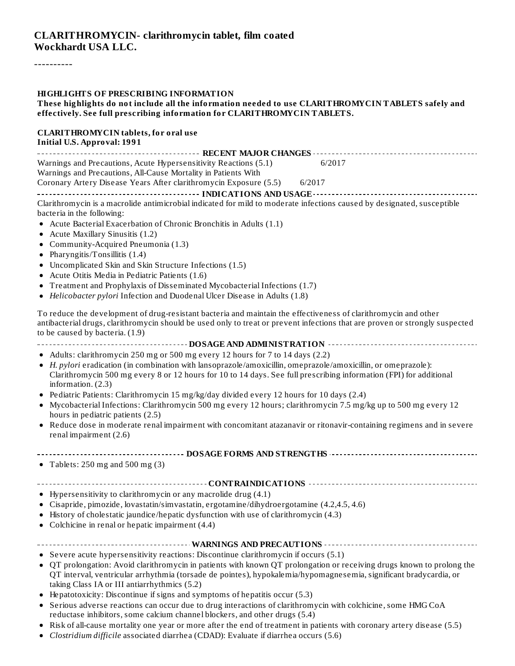----------

#### **HIGHLIGHTS OF PRESCRIBING INFORMATION**

#### **These highlights do not include all the information needed to use CLARITHROMYCIN TABLETS safely and effectively. See full prescribing information for CLARITHROMYCIN TABLETS.**

#### **CLARITHROMYCIN tablets, for oral use Initial U.S. Approval: 1991**

| Warnings and Precautions, Acute Hypersensitivity Reactions (5.1)<br>Warnings and Precautions, All-Cause Mortality in Patients With                                                                                                                                                 | 6/2017 |
|------------------------------------------------------------------------------------------------------------------------------------------------------------------------------------------------------------------------------------------------------------------------------------|--------|
| Coronary Artery Disease Years After clarithromycin Exposure (5.5)                                                                                                                                                                                                                  | 6/2017 |
|                                                                                                                                                                                                                                                                                    |        |
| Clarithromycin is a macrolide antimicrobial indicated for mild to moderate infections caused by designated, susceptible<br>bacteria in the following:                                                                                                                              |        |
| Acute Bacterial Exacerbation of Chronic Bronchitis in Adults (1.1)<br>Acute Maxillary Sinusitis (1.2)                                                                                                                                                                              |        |
| Community-Acquired Pneumonia (1.3)                                                                                                                                                                                                                                                 |        |
| Pharyngitis/Tonsillitis (1.4)                                                                                                                                                                                                                                                      |        |
| Uncomplicated Skin and Skin Structure Infections (1.5)                                                                                                                                                                                                                             |        |
| Acute Otitis Media in Pediatric Patients (1.6)                                                                                                                                                                                                                                     |        |
| Treatment and Prophylaxis of Disseminated Mycobacterial Infections (1.7)<br>Helicobacter pylori Infection and Duodenal Ulcer Disease in Adults (1.8)                                                                                                                               |        |
| To reduce the development of drug-resistant bacteria and maintain the effectiveness of clarithromycin and other<br>antibacterial drugs, clarithromycin should be used only to treat or prevent infections that are proven or strongly suspected<br>to be caused by bacteria. (1.9) |        |
|                                                                                                                                                                                                                                                                                    |        |
| • Adults: clarithromycin 250 mg or 500 mg every 12 hours for 7 to 14 days (2.2)<br>• H. pylori eradication (in combination with lansoprazole/amoxicillin, omeprazole/amoxicillin, or omeprazole):                                                                                  |        |
| Clarithromycin 500 mg every 8 or 12 hours for 10 to 14 days. See full prescribing information (FPI) for additional<br>information. $(2.3)$                                                                                                                                         |        |
| • Pediatric Patients: Clarithromycin 15 mg/kg/day divided every 12 hours for 10 days (2.4)<br>• Mycobacterial Infections: Clarithromycin 500 mg every 12 hours; clarithromycin 7.5 mg/kg up to 500 mg every 12<br>hours in pediatric patients (2.5)                                |        |
| Reduce dose in moderate renal impairment with concomitant atazanavir or ritonavir-containing regimens and in severe<br>renal impairment (2.6)                                                                                                                                      |        |
|                                                                                                                                                                                                                                                                                    |        |
| • Tablets: $250$ mg and $500$ mg $(3)$                                                                                                                                                                                                                                             |        |
|                                                                                                                                                                                                                                                                                    |        |
| • Hypersensitivity to clarithromycin or any macrolide drug (4.1)                                                                                                                                                                                                                   |        |
| · Cisapride, pimozide, lovastatin/simvastatin, ergotamine/dihydroergotamine (4.2,4.5, 4.6)                                                                                                                                                                                         |        |
| • History of cholestatic jaundice/hepatic dysfunction with use of clarithromycin (4.3)<br>Colchicine in renal or hepatic impairment (4.4)                                                                                                                                          |        |
|                                                                                                                                                                                                                                                                                    |        |
| • Severe acute hypersensitivity reactions: Discontinue clarithromycin if occurs (5.1)                                                                                                                                                                                              |        |
| • QT prolongation: Avoid clarithromycin in patients with known QT prolongation or receiving drugs known to prolong the<br>QT interval, ventricular arrhythmia (torsade de pointes), hypokalemia/hypomagnesemia, significant bradycardia, or                                        |        |
| taking Class IA or III antiarrhythmics (5.2)<br>Hepatotoxicity: Discontinue if signs and symptoms of hepatitis occur (5.3)                                                                                                                                                         |        |
| $\bullet$<br>• Serious adverse reactions can occur due to drug interactions of clarithromycin with colchicine, some HMG CoA                                                                                                                                                        |        |
| reductase inhibitors, some calcium channel blockers, and other drugs (5.4)                                                                                                                                                                                                         |        |
| • Risk of all-cause mortality one year or more after the end of treatment in patients with coronary artery disease (5.5)                                                                                                                                                           |        |

*Clostridium difficile* associated diarrhea (CDAD): Evaluate if diarrhea occurs (5.6)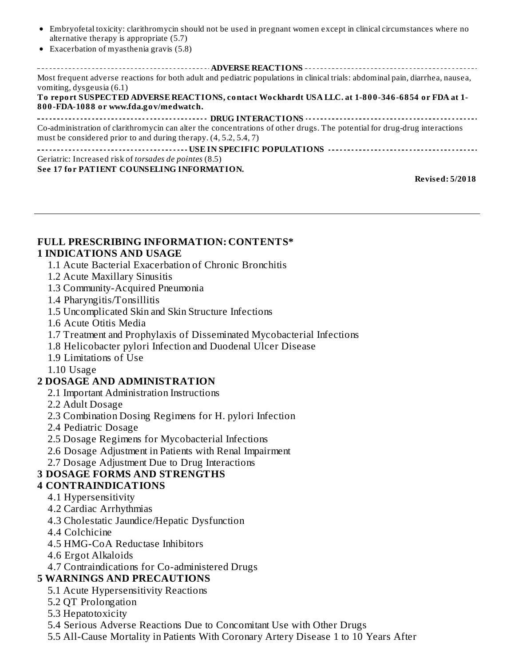- Embryofetal toxicity: clarithromycin should not be used in pregnant women except in clinical circumstances where no alternative therapy is appropriate (5.7)
- Exacerbation of myasthenia gravis (5.8)

**ADVERSE REACTIONS** Most frequent adverse reactions for both adult and pediatric populations in clinical trials: abdominal pain, diarrhea, nausea, vomiting, dysgeusia (6.1) **To report SUSPECTED ADVERSE REACTIONS, contact Wockhardt USA LLC. at 1-800-346-6854 or FDA at 1- 800-FDA-1088 or www.fda.gov/medwatch. DRUG INTERACTIONS** Co-administration of clarithromycin can alter the concentrations of other drugs. The potential for drug-drug interactions must be considered prior to and during therapy. (4, 5.2, 5.4, 7) **USE IN SPECIFIC POPULATIONS** Geriatric: Increased risk of *torsades de pointes* (8.5) **See 17 for PATIENT COUNSELING INFORMATION.**

**Revised: 5/2018**

#### **FULL PRESCRIBING INFORMATION: CONTENTS\* 1 INDICATIONS AND USAGE**

- 1.1 Acute Bacterial Exacerbation of Chronic Bronchitis
- 1.2 Acute Maxillary Sinusitis
- 1.3 Community-Acquired Pneumonia
- 1.4 Pharyngitis/Tonsillitis
- 1.5 Uncomplicated Skin and Skin Structure Infections
- 1.6 Acute Otitis Media
- 1.7 Treatment and Prophylaxis of Disseminated Mycobacterial Infections
- 1.8 Helicobacter pylori Infection and Duodenal Ulcer Disease
- 1.9 Limitations of Use
- 1.10 Usage

#### **2 DOSAGE AND ADMINISTRATION**

- 2.1 Important Administration Instructions
- 2.2 Adult Dosage
- 2.3 Combination Dosing Regimens for H. pylori Infection
- 2.4 Pediatric Dosage
- 2.5 Dosage Regimens for Mycobacterial Infections
- 2.6 Dosage Adjustment in Patients with Renal Impairment
- 2.7 Dosage Adjustment Due to Drug Interactions

#### **3 DOSAGE FORMS AND STRENGTHS**

#### **4 CONTRAINDICATIONS**

- 4.1 Hypersensitivity
- 4.2 Cardiac Arrhythmias
- 4.3 Cholestatic Jaundice/Hepatic Dysfunction
- 4.4 Colchicine
- 4.5 HMG-CoA Reductase Inhibitors
- 4.6 Ergot Alkaloids
- 4.7 Contraindications for Co-administered Drugs

#### **5 WARNINGS AND PRECAUTIONS**

- 5.1 Acute Hypersensitivity Reactions
- 5.2 QT Prolongation
- 5.3 Hepatotoxicity
- 5.4 Serious Adverse Reactions Due to Concomitant Use with Other Drugs
- 5.5 All-Cause Mortality in Patients With Coronary Artery Disease 1 to 10 Years After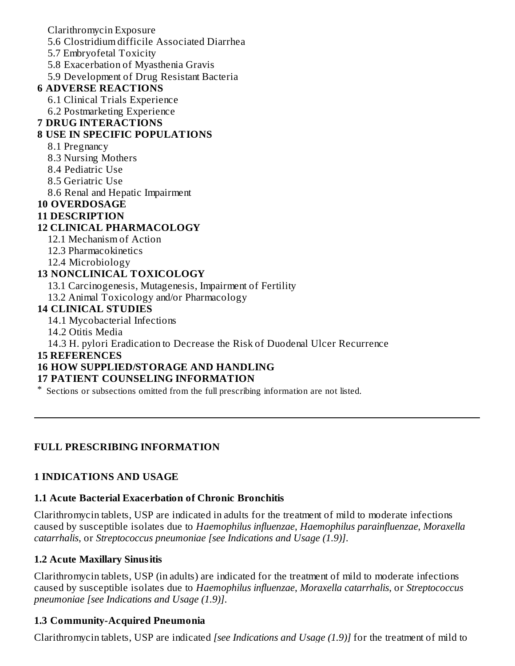Clarithromycin Exposure

5.6 Clostridium difficile Associated Diarrhea

5.7 Embryofetal Toxicity

5.8 Exacerbation of Myasthenia Gravis

5.9 Development of Drug Resistant Bacteria

#### **6 ADVERSE REACTIONS**

- 6.1 Clinical Trials Experience
- 6.2 Postmarketing Experience

### **7 DRUG INTERACTIONS**

### **8 USE IN SPECIFIC POPULATIONS**

- 8.1 Pregnancy
- 8.3 Nursing Mothers
- 8.4 Pediatric Use
- 8.5 Geriatric Use
- 8.6 Renal and Hepatic Impairment

# **10 OVERDOSAGE**

#### **11 DESCRIPTION**

### **12 CLINICAL PHARMACOLOGY**

- 12.1 Mechanism of Action
- 12.3 Pharmacokinetics
- 12.4 Microbiology

### **13 NONCLINICAL TOXICOLOGY**

- 13.1 Carcinogenesis, Mutagenesis, Impairment of Fertility
- 13.2 Animal Toxicology and/or Pharmacology

### **14 CLINICAL STUDIES**

- 14.1 Mycobacterial Infections
- 14.2 Otitis Media

14.3 H. pylori Eradication to Decrease the Risk of Duodenal Ulcer Recurrence

#### **15 REFERENCES**

### **16 HOW SUPPLIED/STORAGE AND HANDLING**

### **17 PATIENT COUNSELING INFORMATION**

\* Sections or subsections omitted from the full prescribing information are not listed.

### **FULL PRESCRIBING INFORMATION**

### **1 INDICATIONS AND USAGE**

### **1.1 Acute Bacterial Exacerbation of Chronic Bronchitis**

Clarithromycin tablets, USP are indicated in adults for the treatment of mild to moderate infections caused by susceptible isolates due to *Haemophilus influenzae*, *Haemophilus parainfluenzae*, *Moraxella catarrhalis*, or *Streptococcus pneumoniae [see Indications and Usage (1.9)]*.

#### **1.2 Acute Maxillary Sinusitis**

Clarithromycin tablets, USP (in adults) are indicated for the treatment of mild to moderate infections caused by susceptible isolates due to *Haemophilus influenzae*, *Moraxella catarrhalis*, or *Streptococcus pneumoniae [see Indications and Usage (1.9)]*.

### **1.3 Community-Acquired Pneumonia**

Clarithromycin tablets, USP are indicated *[see Indications and Usage (1.9)]* for the treatment of mild to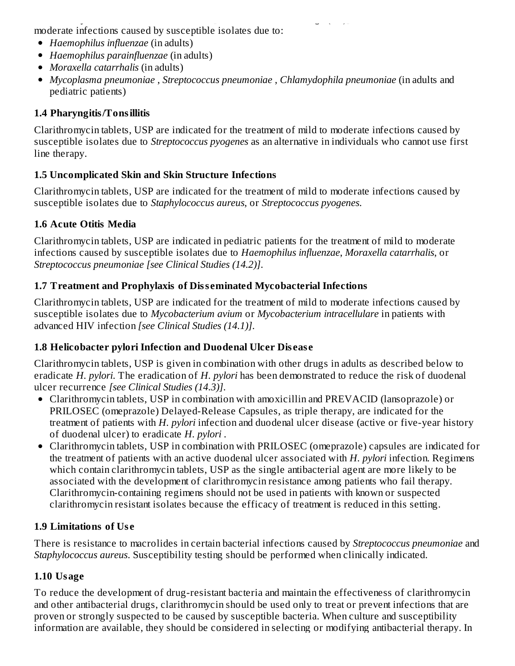Clarithromycin tablets, USP are indicated *[see Indications and Usage (1.9)]* for the treatment of mild to moderate infections caused by susceptible isolates due to:

- *Haemophilus influenzae* (in adults)
- *Haemophilus parainfluenzae* (in adults)
- *Moraxella catarrhalis* (in adults)
- *Mycoplasma pneumoniae* , *Streptococcus pneumoniae* , *Chlamydophila pneumoniae* (in adults and pediatric patients)

### **1.4 Pharyngitis/Tonsillitis**

Clarithromycin tablets, USP are indicated for the treatment of mild to moderate infections caused by susceptible isolates due to *Streptococcus pyogenes* as an alternative in individuals who cannot use first line therapy.

### **1.5 Uncomplicated Skin and Skin Structure Infections**

Clarithromycin tablets, USP are indicated for the treatment of mild to moderate infections caused by susceptible isolates due to *Staphylococcus aureus*, or *Streptococcus pyogenes*.

### **1.6 Acute Otitis Media**

Clarithromycin tablets, USP are indicated in pediatric patients for the treatment of mild to moderate infections caused by susceptible isolates due to *Haemophilus influenzae*, *Moraxella catarrhalis*, or *Streptococcus pneumoniae [see Clinical Studies (14.2)]*.

### **1.7 Treatment and Prophylaxis of Diss eminated Mycobacterial Infections**

Clarithromycin tablets, USP are indicated for the treatment of mild to moderate infections caused by susceptible isolates due to *Mycobacterium avium* or *Mycobacterium intracellulare* in patients with advanced HIV infection *[see Clinical Studies (14.1)]*.

### **1.8 Helicobacter pylori Infection and Duodenal Ulcer Dis eas e**

Clarithromycin tablets, USP is given in combination with other drugs in adults as described below to eradicate *H. pylori*. The eradication of *H. pylori* has been demonstrated to reduce the risk of duodenal ulcer recurrence *[see Clinical Studies (14.3)]*.

- Clarithromycin tablets, USP in combination with amoxicillin and PREVACID (lansoprazole) or PRILOSEC (omeprazole) Delayed-Release Capsules, as triple therapy, are indicated for the treatment of patients with *H. pylori* infection and duodenal ulcer disease (active or five-year history of duodenal ulcer) to eradicate *H. pylori* .
- Clarithromycin tablets, USP in combination with PRILOSEC (omeprazole) capsules are indicated for the treatment of patients with an active duodenal ulcer associated with *H. pylori* infection. Regimens which contain clarithromycin tablets, USP as the single antibacterial agent are more likely to be associated with the development of clarithromycin resistance among patients who fail therapy. Clarithromycin-containing regimens should not be used in patients with known or suspected clarithromycin resistant isolates because the efficacy of treatment is reduced in this setting.

### **1.9 Limitations of Us e**

There is resistance to macrolides in certain bacterial infections caused by *Streptococcus pneumoniae* and *Staphylococcus aureus*. Susceptibility testing should be performed when clinically indicated.

# **1.10 Usage**

To reduce the development of drug-resistant bacteria and maintain the effectiveness of clarithromycin and other antibacterial drugs, clarithromycin should be used only to treat or prevent infections that are proven or strongly suspected to be caused by susceptible bacteria. When culture and susceptibility information are available, they should be considered in selecting or modifying antibacterial therapy. In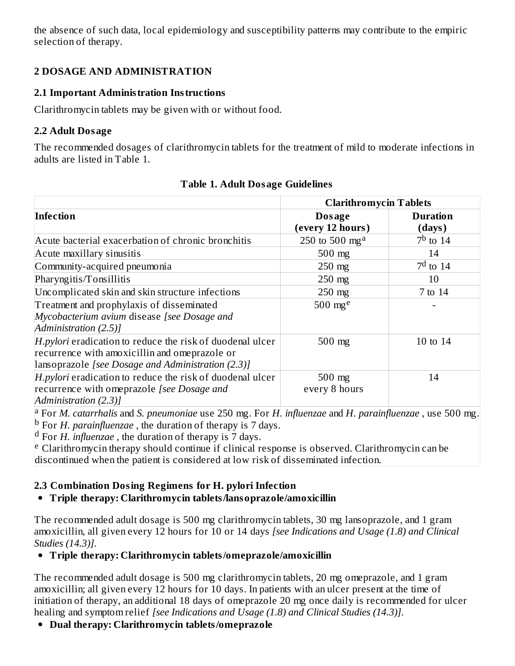the absence of such data, local epidemiology and susceptibility patterns may contribute to the empiric selection of therapy.

### **2 DOSAGE AND ADMINISTRATION**

### **2.1 Important Administration Instructions**

Clarithromycin tablets may be given with or without food.

### **2.2 Adult Dosage**

The recommended dosages of clarithromycin tablets for the treatment of mild to moderate infections in adults are listed in Table 1.

|                                                                                                                                                                   | <b>Clarithromycin Tablets</b> |                           |
|-------------------------------------------------------------------------------------------------------------------------------------------------------------------|-------------------------------|---------------------------|
| Infection                                                                                                                                                         | Dosage<br>(every 12 hours)    | <b>Duration</b><br>(days) |
| Acute bacterial exacerbation of chronic bronchitis                                                                                                                | 250 to 500 mg <sup>a</sup>    | $7b$ to 14                |
| Acute maxillary sinusitis                                                                                                                                         | $500$ mg                      | 14                        |
| Community-acquired pneumonia                                                                                                                                      | $250$ mg                      | $7d$ to 14                |
| Pharyngitis/Tonsillitis                                                                                                                                           | $250$ mg                      | 10                        |
| Uncomplicated skin and skin structure infections                                                                                                                  | $250$ mg                      | 7 to 14                   |
| Treatment and prophylaxis of disseminated                                                                                                                         | 500 $mg^e$                    |                           |
| Mycobacterium avium disease [see Dosage and<br>Administration (2.5)]                                                                                              |                               |                           |
| H.pylori eradication to reduce the risk of duodenal ulcer<br>recurrence with amoxicillin and omeprazole or<br>[lansoprazole [see Dosage and Administration (2.3)] | $500$ mg                      | 10 to 14                  |
| H.pylori eradication to reduce the risk of duodenal ulcer<br>recurrence with omeprazole [see Dosage and<br>Administration (2.3)]                                  | 500 mg<br>every 8 hours       | 14                        |

### **Table 1. Adult Dosage Guidelines**

For *M. catarrhalis* and *S. pneumoniae* use 250 mg. For *H. influenzae* and *H. parainfluenzae* , use 500 mg. a <sup>b</sup> For *H. parainfluenzae*, the duration of therapy is 7 days.

<sup>d</sup> For *H. influenzae*, the duration of therapy is 7 days.

<sup>e</sup> Clarithromycin therapy should continue if clinical response is observed. Clarithromycin can be discontinued when the patient is considered at low risk of disseminated infection.

# **2.3 Combination Dosing Regimens for H. pylori Infection**

### **Triple therapy: Clarithromycin tablets/lansoprazole/amoxicillin**

The recommended adult dosage is 500 mg clarithromycin tablets, 30 mg lansoprazole, and 1 gram amoxicillin, all given every 12 hours for 10 or 14 days *[see Indications and Usage (1.8) and Clinical Studies (14.3)]*.

### **Triple therapy: Clarithromycin tablets/omeprazole/amoxicillin**

The recommended adult dosage is 500 mg clarithromycin tablets, 20 mg omeprazole, and 1 gram amoxicillin; all given every 12 hours for 10 days. In patients with an ulcer present at the time of initiation of therapy, an additional 18 days of omeprazole 20 mg once daily is recommended for ulcer healing and symptom relief *[see Indications and Usage (1.8) and Clinical Studies (14.3)]*.

**Dual therapy: Clarithromycin tablets/omeprazole**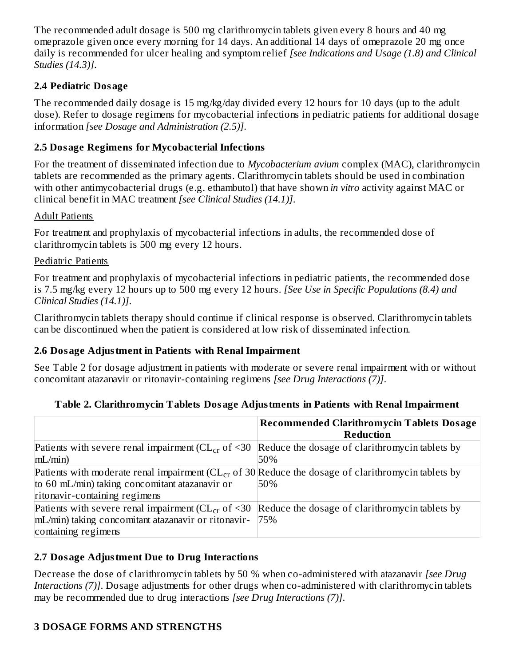The recommended adult dosage is 500 mg clarithromycin tablets given every 8 hours and 40 mg omeprazole given once every morning for 14 days. An additional 14 days of omeprazole 20 mg once daily is recommended for ulcer healing and symptom relief *[see Indications and Usage (1.8) and Clinical Studies (14.3)]*.

### **2.4 Pediatric Dosage**

The recommended daily dosage is 15 mg/kg/day divided every 12 hours for 10 days (up to the adult dose). Refer to dosage regimens for mycobacterial infections in pediatric patients for additional dosage information *[see Dosage and Administration (2.5)]*.

### **2.5 Dosage Regimens for Mycobacterial Infections**

For the treatment of disseminated infection due to *Mycobacterium avium* complex (MAC), clarithromycin tablets are recommended as the primary agents. Clarithromycin tablets should be used in combination with other antimycobacterial drugs (e.g. ethambutol) that have shown *in vitro* activity against MAC or clinical benefit in MAC treatment *[see Clinical Studies (14.1)]*.

### Adult Patients

For treatment and prophylaxis of mycobacterial infections in adults, the recommended dose of clarithromycin tablets is 500 mg every 12 hours.

### Pediatric Patients

For treatment and prophylaxis of mycobacterial infections in pediatric patients, the recommended dose is 7.5 mg/kg every 12 hours up to 500 mg every 12 hours. *[See Use in Specific Populations (8.4) and Clinical Studies (14.1)]*.

Clarithromycin tablets therapy should continue if clinical response is observed. Clarithromycin tablets can be discontinued when the patient is considered at low risk of disseminated infection.

### **2.6 Dosage Adjustment in Patients with Renal Impairment**

See Table 2 for dosage adjustment in patients with moderate or severe renal impairment with or without concomitant atazanavir or ritonavir-containing regimens *[see Drug Interactions (7)]*.

### **Table 2. Clarithromycin Tablets Dosage Adjustments in Patients with Renal Impairment**

|                                                                                                          | <b>Recommended Clarithromycin Tablets Dosage</b><br><b>Reduction</b> |
|----------------------------------------------------------------------------------------------------------|----------------------------------------------------------------------|
| Patients with severe renal impairment ( $CL_{cr}$ of <30 Reduce the dosage of clarithromycin tablets by  |                                                                      |
| mL/min                                                                                                   | 50%                                                                  |
| Patients with moderate renal impairment ( $CL_{cr}$ of 30 Reduce the dosage of clarithromycin tablets by |                                                                      |
| to 60 mL/min) taking concomitant atazanavir or                                                           | 50%                                                                  |
| ritonavir-containing regimens                                                                            |                                                                      |
| Patients with severe renal impairment ( $CL_{cr}$ of <30 Reduce the dosage of clarithromycin tablets by  |                                                                      |
| mL/min) taking concomitant atazanavir or ritonavir-  75%                                                 |                                                                      |
| containing regimens                                                                                      |                                                                      |

### **2.7 Dosage Adjustment Due to Drug Interactions**

Decrease the dose of clarithromycin tablets by 50 % when co-administered with atazanavir *[see Drug Interactions (7)]*. Dosage adjustments for other drugs when co-administered with clarithromycin tablets may be recommended due to drug interactions *[see Drug Interactions (7)]*.

### **3 DOSAGE FORMS AND STRENGTHS**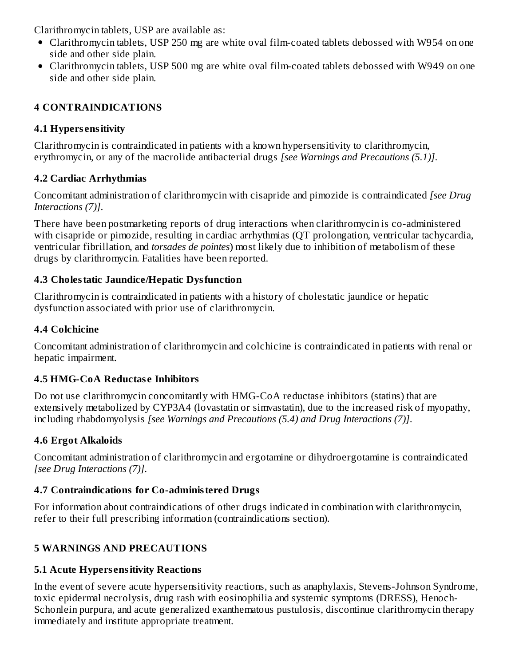Clarithromycin tablets, USP are available as:

- Clarithromycin tablets, USP 250 mg are white oval film-coated tablets debossed with W954 on one side and other side plain.
- Clarithromycin tablets, USP 500 mg are white oval film-coated tablets debossed with W949 on one side and other side plain.

### **4 CONTRAINDICATIONS**

### **4.1 Hypers ensitivity**

Clarithromycin is contraindicated in patients with a known hypersensitivity to clarithromycin, erythromycin, or any of the macrolide antibacterial drugs *[see Warnings and Precautions (5.1)]*.

# **4.2 Cardiac Arrhythmias**

Concomitant administration of clarithromycin with cisapride and pimozide is contraindicated *[see Drug Interactions (7)]*.

There have been postmarketing reports of drug interactions when clarithromycin is co-administered with cisapride or pimozide, resulting in cardiac arrhythmias (QT prolongation, ventricular tachycardia, ventricular fibrillation, and *torsades de pointes*) most likely due to inhibition of metabolism of these drugs by clarithromycin. Fatalities have been reported.

### **4.3 Cholestatic Jaundice/Hepatic Dysfunction**

Clarithromycin is contraindicated in patients with a history of cholestatic jaundice or hepatic dysfunction associated with prior use of clarithromycin.

### **4.4 Colchicine**

Concomitant administration of clarithromycin and colchicine is contraindicated in patients with renal or hepatic impairment.

# **4.5 HMG-CoA Reductas e Inhibitors**

Do not use clarithromycin concomitantly with HMG-CoA reductase inhibitors (statins) that are extensively metabolized by CYP3A4 (lovastatin or simvastatin), due to the increased risk of myopathy, including rhabdomyolysis *[see Warnings and Precautions (5.4) and Drug Interactions (7)]*.

# **4.6 Ergot Alkaloids**

Concomitant administration of clarithromycin and ergotamine or dihydroergotamine is contraindicated *[see Drug Interactions (7)]*.

# **4.7 Contraindications for Co-administered Drugs**

For information about contraindications of other drugs indicated in combination with clarithromycin, refer to their full prescribing information (contraindications section).

# **5 WARNINGS AND PRECAUTIONS**

# **5.1 Acute Hypers ensitivity Reactions**

In the event of severe acute hypersensitivity reactions, such as anaphylaxis, Stevens-Johnson Syndrome, toxic epidermal necrolysis, drug rash with eosinophilia and systemic symptoms (DRESS), Henoch-Schonlein purpura, and acute generalized exanthematous pustulosis, discontinue clarithromycin therapy immediately and institute appropriate treatment.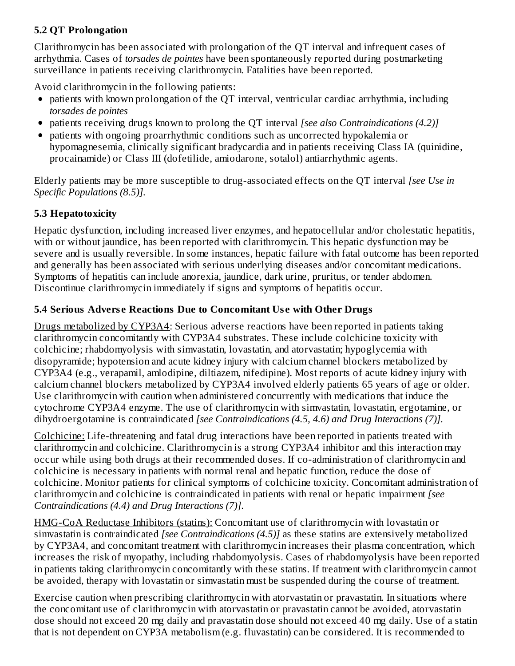### **5.2 QT Prolongation**

Clarithromycin has been associated with prolongation of the QT interval and infrequent cases of arrhythmia. Cases of *torsades de pointes* have been spontaneously reported during postmarketing surveillance in patients receiving clarithromycin. Fatalities have been reported.

Avoid clarithromycin in the following patients:

- patients with known prolongation of the QT interval, ventricular cardiac arrhythmia, including *torsades de pointes*
- patients receiving drugs known to prolong the QT interval *[see also Contraindications (4.2)]*
- patients with ongoing proarrhythmic conditions such as uncorrected hypokalemia or hypomagnesemia, clinically significant bradycardia and in patients receiving Class IA (quinidine, procainamide) or Class III (dofetilide, amiodarone, sotalol) antiarrhythmic agents.

Elderly patients may be more susceptible to drug-associated effects on the QT interval *[see Use in Specific Populations (8.5)].*

### **5.3 Hepatotoxicity**

Hepatic dysfunction, including increased liver enzymes, and hepatocellular and/or cholestatic hepatitis, with or without jaundice, has been reported with clarithromycin. This hepatic dysfunction may be severe and is usually reversible. In some instances, hepatic failure with fatal outcome has been reported and generally has been associated with serious underlying diseases and/or concomitant medications. Symptoms of hepatitis can include anorexia, jaundice, dark urine, pruritus, or tender abdomen. Discontinue clarithromycin immediately if signs and symptoms of hepatitis occur.

### **5.4 Serious Advers e Reactions Due to Concomitant Us e with Other Drugs**

Drugs metabolized by CYP3A4: Serious adverse reactions have been reported in patients taking clarithromycin concomitantly with CYP3A4 substrates. These include colchicine toxicity with colchicine; rhabdomyolysis with simvastatin, lovastatin, and atorvastatin; hypoglycemia with disopyramide; hypotension and acute kidney injury with calcium channel blockers metabolized by CYP3A4 (e.g., verapamil, amlodipine, diltiazem, nifedipine). Most reports of acute kidney injury with calcium channel blockers metabolized by CYP3A4 involved elderly patients 65 years of age or older. Use clarithromycin with caution when administered concurrently with medications that induce the cytochrome CYP3A4 enzyme. The use of clarithromycin with simvastatin, lovastatin, ergotamine, or dihydroergotamine is contraindicated *[see Contraindications (4.5, 4.6) and Drug Interactions (7)].*

Colchicine: Life-threatening and fatal drug interactions have been reported in patients treated with clarithromycin and colchicine. Clarithromycin is a strong CYP3A4 inhibitor and this interaction may occur while using both drugs at their recommended doses. If co-administration of clarithromycin and colchicine is necessary in patients with normal renal and hepatic function, reduce the dose of colchicine. Monitor patients for clinical symptoms of colchicine toxicity. Concomitant administration of clarithromycin and colchicine is contraindicated in patients with renal or hepatic impairment *[see Contraindications (4.4) and Drug Interactions (7)]*.

HMG-CoA Reductase Inhibitors (statins): Concomitant use of clarithromycin with lovastatin or simvastatin is contraindicated *[see Contraindications (4.5)]* as these statins are extensively metabolized by CYP3A4, and concomitant treatment with clarithromycin increases their plasma concentration, which increases the risk of myopathy, including rhabdomyolysis. Cases of rhabdomyolysis have been reported in patients taking clarithromycin concomitantly with these statins. If treatment with clarithromycin cannot be avoided, therapy with lovastatin or simvastatin must be suspended during the course of treatment.

Exercise caution when prescribing clarithromycin with atorvastatin or pravastatin. In situations where the concomitant use of clarithromycin with atorvastatin or pravastatin cannot be avoided, atorvastatin dose should not exceed 20 mg daily and pravastatin dose should not exceed 40 mg daily. Use of a statin that is not dependent on CYP3A metabolism (e.g. fluvastatin) can be considered. It is recommended to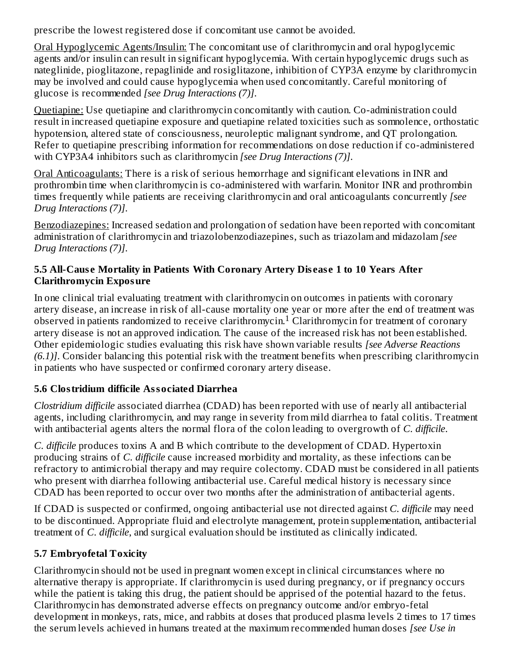prescribe the lowest registered dose if concomitant use cannot be avoided.

Oral Hypoglycemic Agents/Insulin: The concomitant use of clarithromycin and oral hypoglycemic agents and/or insulin can result in significant hypoglycemia. With certain hypoglycemic drugs such as nateglinide, pioglitazone, repaglinide and rosiglitazone, inhibition of CYP3A enzyme by clarithromycin may be involved and could cause hypoglycemia when used concomitantly. Careful monitoring of glucose is recommended *[see Drug Interactions (7)]*.

Quetiapine: Use quetiapine and clarithromycin concomitantly with caution. Co-administration could result in increased quetiapine exposure and quetiapine related toxicities such as somnolence, orthostatic hypotension, altered state of consciousness, neuroleptic malignant syndrome, and QT prolongation. Refer to quetiapine prescribing information for recommendations on dose reduction if co-administered with CYP3A4 inhibitors such as clarithromycin *[see Drug Interactions (7)]*.

Oral Anticoagulants: There is a risk of serious hemorrhage and significant elevations in INR and prothrombin time when clarithromycin is co-administered with warfarin. Monitor INR and prothrombin times frequently while patients are receiving clarithromycin and oral anticoagulants concurrently *[see Drug Interactions (7)]*.

Benzodiazepines: Increased sedation and prolongation of sedation have been reported with concomitant administration of clarithromycin and triazolobenzodiazepines, such as triazolam and midazolam *[see Drug Interactions (7)]*.

#### **5.5 All-Caus e Mortality in Patients With Coronary Artery Dis eas e 1 to 10 Years After Clarithromycin Exposure**

In one clinical trial evaluating treatment with clarithromycin on outcomes in patients with coronary artery disease, an increase in risk of all-cause mortality one year or more after the end of treatment was observed in patients randomized to receive clarithromycin.<sup>1</sup> Clarithromycin for treatment of coronary artery disease is not an approved indication. The cause of the increased risk has not been established. Other epidemiologic studies evaluating this risk have shown variable results *[see Adverse Reactions (6.1)]*. Consider balancing this potential risk with the treatment benefits when prescribing clarithromycin in patients who have suspected or confirmed coronary artery disease.

# **5.6 Clostridium difficile Associated Diarrhea**

*Clostridium difficile* associated diarrhea (CDAD) has been reported with use of nearly all antibacterial agents, including clarithromycin, and may range in severity from mild diarrhea to fatal colitis. Treatment with antibacterial agents alters the normal flora of the colon leading to overgrowth of *C. difficile*.

*C. difficile* produces toxins A and B which contribute to the development of CDAD. Hypertoxin producing strains of *C. difficile* cause increased morbidity and mortality, as these infections can be refractory to antimicrobial therapy and may require colectomy. CDAD must be considered in all patients who present with diarrhea following antibacterial use. Careful medical history is necessary since CDAD has been reported to occur over two months after the administration of antibacterial agents.

If CDAD is suspected or confirmed, ongoing antibacterial use not directed against *C. difficile* may need to be discontinued. Appropriate fluid and electrolyte management, protein supplementation, antibacterial treatment of *C. difficile*, and surgical evaluation should be instituted as clinically indicated.

# **5.7 Embryofetal Toxicity**

Clarithromycin should not be used in pregnant women except in clinical circumstances where no alternative therapy is appropriate. If clarithromycin is used during pregnancy, or if pregnancy occurs while the patient is taking this drug, the patient should be apprised of the potential hazard to the fetus. Clarithromycin has demonstrated adverse effects on pregnancy outcome and/or embryo-fetal development in monkeys, rats, mice, and rabbits at doses that produced plasma levels 2 times to 17 times the serum levels achieved in humans treated at the maximum recommended human doses *[see Use in*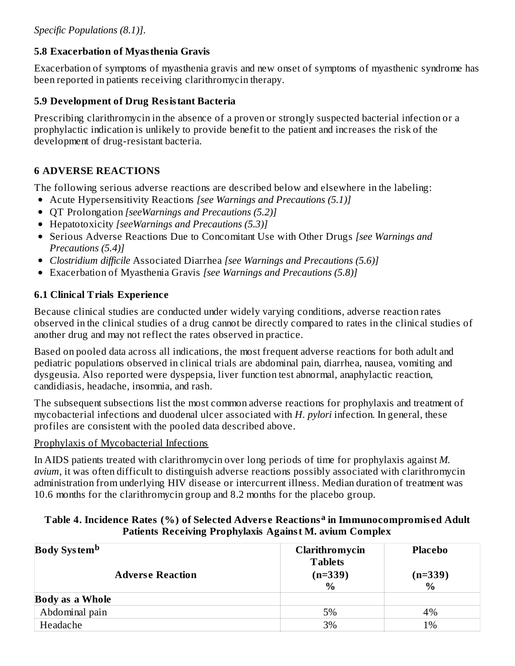### **5.8 Exacerbation of Myasthenia Gravis**

Exacerbation of symptoms of myasthenia gravis and new onset of symptoms of myasthenic syndrome has been reported in patients receiving clarithromycin therapy.

### **5.9 Development of Drug Resistant Bacteria**

Prescribing clarithromycin in the absence of a proven or strongly suspected bacterial infection or a prophylactic indication is unlikely to provide benefit to the patient and increases the risk of the development of drug-resistant bacteria.

### **6 ADVERSE REACTIONS**

The following serious adverse reactions are described below and elsewhere in the labeling:

- Acute Hypersensitivity Reactions *[see Warnings and Precautions (5.1)]*
- QT Prolongation *[seeWarnings and Precautions (5.2)]*
- Hepatotoxicity *[seeWarnings and Precautions (5.3)]*
- Serious Adverse Reactions Due to Concomitant Use with Other Drugs *[see Warnings and Precautions (5.4)]*
- *Clostridium difficile* Associated Diarrhea *[see Warnings and Precautions (5.6)]*
- Exacerbation of Myasthenia Gravis *[see Warnings and Precautions (5.8)]*

### **6.1 Clinical Trials Experience**

Because clinical studies are conducted under widely varying conditions, adverse reaction rates observed in the clinical studies of a drug cannot be directly compared to rates in the clinical studies of another drug and may not reflect the rates observed in practice.

Based on pooled data across all indications, the most frequent adverse reactions for both adult and pediatric populations observed in clinical trials are abdominal pain, diarrhea, nausea, vomiting and dysgeusia. Also reported were dyspepsia, liver function test abnormal, anaphylactic reaction, candidiasis, headache, insomnia, and rash.

The subsequent subsections list the most common adverse reactions for prophylaxis and treatment of mycobacterial infections and duodenal ulcer associated with *H. pylori* infection. In general, these profiles are consistent with the pooled data described above.

#### Prophylaxis of Mycobacterial Infections

In AIDS patients treated with clarithromycin over long periods of time for prophylaxis against *M. avium*, it was often difficult to distinguish adverse reactions possibly associated with clarithromycin administration from underlying HIV disease or intercurrent illness. Median duration of treatment was 10.6 months for the clarithromycin group and 8.2 months for the placebo group.

#### **Table 4. Incidence Rates (%) of Selected Advers e Reactions in Immunocompromis ed Adult a Patients Receiving Prophylaxis Against M. avium Complex**

| <b>Body Systemb</b>     | Clarithromycin<br><b>Tablets</b> | <b>Placebo</b>    |
|-------------------------|----------------------------------|-------------------|
| <b>Adverse Reaction</b> | $(n=339)$<br>$\%$                | $(n=339)$<br>$\%$ |
| <b>Body as a Whole</b>  |                                  |                   |
| Abdominal pain          | 5%                               | 4%                |
| Headache                | 3%                               | 1%                |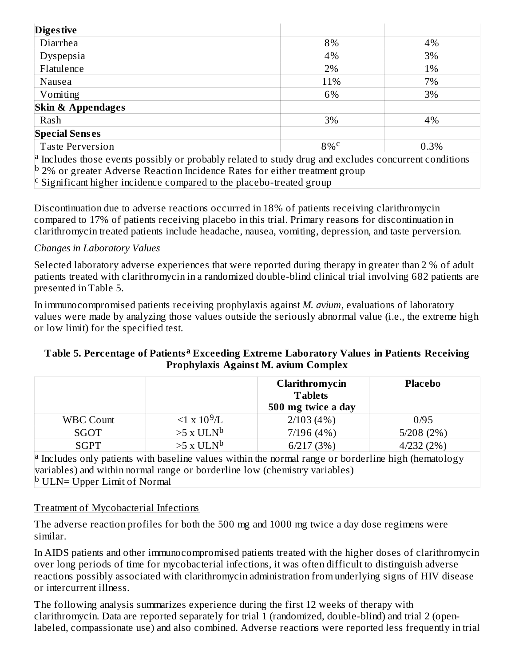| <b>Diges tive</b>                                                                                            |                    |      |
|--------------------------------------------------------------------------------------------------------------|--------------------|------|
| Diarrhea                                                                                                     | 8%                 | 4%   |
| Dyspepsia                                                                                                    | 4%                 | 3%   |
| Flatulence                                                                                                   | 2%                 | 1%   |
| Nausea                                                                                                       | 11%                | 7%   |
| Vomiting                                                                                                     | 6%                 | 3%   |
| <b>Skin &amp; Appendages</b>                                                                                 |                    |      |
| Rash                                                                                                         | 3%                 | 4%   |
| <b>Special Senses</b>                                                                                        |                    |      |
| <b>Taste Perversion</b>                                                                                      | $8\%$ <sup>c</sup> | 0.3% |
| $\alpha$ Includes those events possibly or probably related to study drug and excludes concurrent conditions |                    |      |
| $\vert$ <sup>b</sup> 2% or greater Adverse Reaction Incidence Rates for either treatment group               |                    |      |

 $\text{c}$  Significant higher incidence compared to the placebo-treated group

Discontinuation due to adverse reactions occurred in 18% of patients receiving clarithromycin compared to 17% of patients receiving placebo in this trial. Primary reasons for discontinuation in clarithromycin treated patients include headache, nausea, vomiting, depression, and taste perversion.

#### *Changes in Laboratory Values*

Selected laboratory adverse experiences that were reported during therapy in greater than 2 % of adult patients treated with clarithromycin in a randomized double-blind clinical trial involving 682 patients are presented in Table 5.

In immunocompromised patients receiving prophylaxis against *M. avium*, evaluations of laboratory values were made by analyzing those values outside the seriously abnormal value (i.e., the extreme high or low limit) for the specified test.

#### **Table 5. Percentage of Patients Exceeding Extreme Laboratory Values in Patients Receiving a Prophylaxis Against M. avium Complex**

|                  |                         | Clarithromycin<br><b>Tablets</b><br>500 mg twice a day | <b>Placebo</b> |
|------------------|-------------------------|--------------------------------------------------------|----------------|
| <b>WBC Count</b> | $\leq 1 \times 10^9$ /L | 2/103(4%)                                              | 0/95           |
| SGOT             | $>5$ x ULN <sup>b</sup> | 7/196(4%)                                              | 5/208(2%)      |
| <b>SGPT</b>      | $>5$ x ULN <sup>b</sup> | 6/217(3%)                                              | 4/232(2%)      |

<sup>a</sup> Includes only patients with baseline values within the normal range or borderline high (hematology variables) and within normal range or borderline low (chemistry variables) <sup>b</sup> ULN= Upper Limit of Normal

#### Treatment of Mycobacterial Infections

The adverse reaction profiles for both the 500 mg and 1000 mg twice a day dose regimens were similar.

In AIDS patients and other immunocompromised patients treated with the higher doses of clarithromycin over long periods of time for mycobacterial infections, it was often difficult to distinguish adverse reactions possibly associated with clarithromycin administration from underlying signs of HIV disease or intercurrent illness.

The following analysis summarizes experience during the first 12 weeks of therapy with clarithromycin. Data are reported separately for trial 1 (randomized, double-blind) and trial 2 (openlabeled, compassionate use) and also combined. Adverse reactions were reported less frequently in trial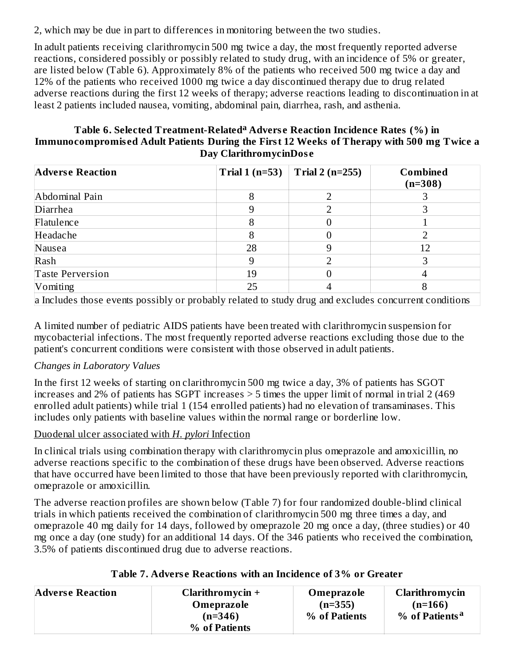2, which may be due in part to differences in monitoring between the two studies.

In adult patients receiving clarithromycin 500 mg twice a day, the most frequently reported adverse reactions, considered possibly or possibly related to study drug, with an incidence of 5% or greater, are listed below (Table 6). Approximately 8% of the patients who received 500 mg twice a day and 12% of the patients who received 1000 mg twice a day discontinued therapy due to drug related adverse reactions during the first 12 weeks of therapy; adverse reactions leading to discontinuation in at least 2 patients included nausea, vomiting, abdominal pain, diarrhea, rash, and asthenia.

#### **Table 6. Selected Treatment-Related Advers e Reaction Incidence Rates (%) in a Immunocompromis ed Adult Patients During the First 12 Weeks of Therapy with 500 mg Twice a Day ClarithromycinDos e**

| <b>Adverse Reaction</b>                                                                               | Trial $1(n=53)$ | Trial 2 ( $n=255$ ) | <b>Combined</b><br>$(n=308)$ |
|-------------------------------------------------------------------------------------------------------|-----------------|---------------------|------------------------------|
| Abdominal Pain                                                                                        | 8               |                     |                              |
| Diarrhea                                                                                              |                 |                     |                              |
| Flatulence                                                                                            | 8               |                     |                              |
| Headache                                                                                              | 8               |                     |                              |
| Nausea                                                                                                | 28              |                     | 12                           |
| Rash                                                                                                  | 9               |                     |                              |
| <b>Taste Perversion</b>                                                                               | 19              |                     |                              |
| Vomiting                                                                                              | 25              |                     |                              |
| a Includes those events possibly or probably related to study drug and excludes concurrent conditions |                 |                     |                              |

A limited number of pediatric AIDS patients have been treated with clarithromycin suspension for mycobacterial infections. The most frequently reported adverse reactions excluding those due to the patient's concurrent conditions were consistent with those observed in adult patients.

### *Changes in Laboratory Values*

In the first 12 weeks of starting on clarithromycin 500 mg twice a day, 3% of patients has SGOT increases and 2% of patients has SGPT increases > 5 times the upper limit of normal in trial 2 (469 enrolled adult patients) while trial 1 (154 enrolled patients) had no elevation of transaminases. This includes only patients with baseline values within the normal range or borderline low.

#### Duodenal ulcer associated with *H. pylori* Infection

In clinical trials using combination therapy with clarithromycin plus omeprazole and amoxicillin, no adverse reactions specific to the combination of these drugs have been observed. Adverse reactions that have occurred have been limited to those that have been previously reported with clarithromycin, omeprazole or amoxicillin.

The adverse reaction profiles are shown below (Table 7) for four randomized double-blind clinical trials in which patients received the combination of clarithromycin 500 mg three times a day, and omeprazole 40 mg daily for 14 days, followed by omeprazole 20 mg once a day, (three studies) or 40 mg once a day (one study) for an additional 14 days. Of the 346 patients who received the combination, 3.5% of patients discontinued drug due to adverse reactions.

| <b>Adverse Reaction</b> | Clarithromycin $+$ | Omeprazole    | Clarithromycin             |
|-------------------------|--------------------|---------------|----------------------------|
|                         | Omeprazole         | $(n=355)$     | $(n=166)$                  |
|                         | $(n=346)$          | % of Patients | % of Patients <sup>a</sup> |
|                         | % of Patients      |               |                            |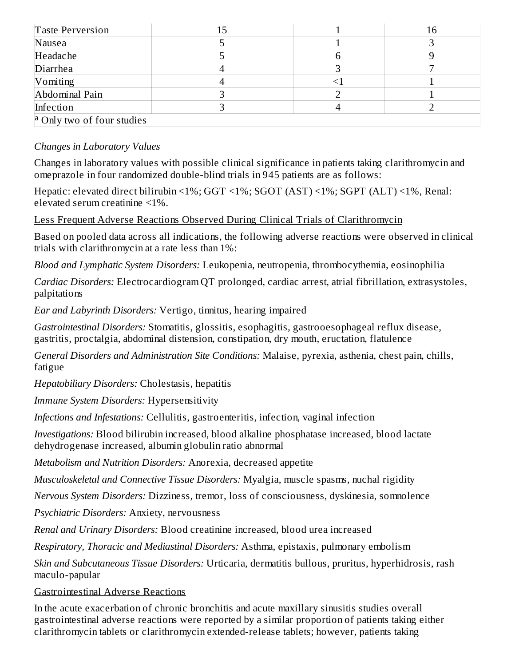| Taste Perversion                  |  | 16 |
|-----------------------------------|--|----|
| Nausea                            |  |    |
| Headache                          |  |    |
| Diarrhea                          |  |    |
| Vomiting                          |  |    |
| Abdominal Pain                    |  |    |
| Infection                         |  |    |
| $\alpha$ Only two of four studies |  |    |

#### *Changes in Laboratory Values*

Changes in laboratory values with possible clinical significance in patients taking clarithromycin and omeprazole in four randomized double-blind trials in 945 patients are as follows:

Hepatic: elevated direct bilirubin <1%; GGT <1%; SGOT (AST) <1%; SGPT (ALT) <1%, Renal: elevated serum creatinine <1%.

Less Frequent Adverse Reactions Observed During Clinical Trials of Clarithromycin

Based on pooled data across all indications, the following adverse reactions were observed in clinical trials with clarithromycin at a rate less than 1%:

*Blood and Lymphatic System Disorders:* Leukopenia, neutropenia, thrombocythemia, eosinophilia

*Cardiac Disorders:* Electrocardiogram QT prolonged, cardiac arrest, atrial fibrillation, extrasystoles, palpitations

*Ear and Labyrinth Disorders:* Vertigo, tinnitus, hearing impaired

*Gastrointestinal Disorders:* Stomatitis, glossitis, esophagitis, gastrooesophageal reflux disease, gastritis, proctalgia, abdominal distension, constipation, dry mouth, eructation, flatulence

*General Disorders and Administration Site Conditions:* Malaise, pyrexia, asthenia, chest pain, chills, fatigue

*Hepatobiliary Disorders:* Cholestasis, hepatitis

*Immune System Disorders:* Hypersensitivity

*Infections and Infestations:* Cellulitis, gastroenteritis, infection, vaginal infection

*Investigations:* Blood bilirubin increased, blood alkaline phosphatase increased, blood lactate dehydrogenase increased, albumin globulin ratio abnormal

*Metabolism and Nutrition Disorders:* Anorexia, decreased appetite

*Musculoskeletal and Connective Tissue Disorders:* Myalgia, muscle spasms, nuchal rigidity

*Nervous System Disorders:* Dizziness, tremor, loss of consciousness, dyskinesia, somnolence

*Psychiatric Disorders:* Anxiety, nervousness

*Renal and Urinary Disorders:* Blood creatinine increased, blood urea increased

*Respiratory, Thoracic and Mediastinal Disorders:* Asthma, epistaxis, pulmonary embolism

*Skin and Subcutaneous Tissue Disorders:* Urticaria, dermatitis bullous, pruritus, hyperhidrosis, rash maculo-papular

#### Gastrointestinal Adverse Reactions

In the acute exacerbation of chronic bronchitis and acute maxillary sinusitis studies overall gastrointestinal adverse reactions were reported by a similar proportion of patients taking either clarithromycin tablets or clarithromycin extended-release tablets; however, patients taking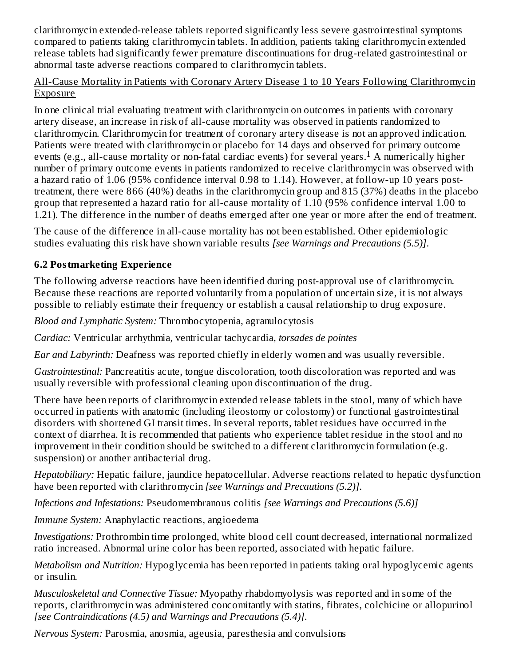clarithromycin extended-release tablets reported significantly less severe gastrointestinal symptoms compared to patients taking clarithromycin tablets. In addition, patients taking clarithromycin extended release tablets had significantly fewer premature discontinuations for drug-related gastrointestinal or abnormal taste adverse reactions compared to clarithromycin tablets.

#### All-Cause Mortality in Patients with Coronary Artery Disease 1 to 10 Years Following Clarithromycin Exposure

In one clinical trial evaluating treatment with clarithromycin on outcomes in patients with coronary artery disease, an increase in risk of all-cause mortality was observed in patients randomized to clarithromycin. Clarithromycin for treatment of coronary artery disease is not an approved indication. Patients were treated with clarithromycin or placebo for 14 days and observed for primary outcome events (e.g., all-cause mortality or non-fatal cardiac events) for several years.<sup>1</sup> A numerically higher number of primary outcome events in patients randomized to receive clarithromycin was observed with a hazard ratio of 1.06 (95% confidence interval 0.98 to 1.14). However, at follow-up 10 years posttreatment, there were 866 (40%) deaths in the clarithromycin group and 815 (37%) deaths in the placebo group that represented a hazard ratio for all-cause mortality of 1.10 (95% confidence interval 1.00 to 1.21). The difference in the number of deaths emerged after one year or more after the end of treatment.

The cause of the difference in all-cause mortality has not been established. Other epidemiologic studies evaluating this risk have shown variable results *[see Warnings and Precautions (5.5)]*.

### **6.2 Postmarketing Experience**

The following adverse reactions have been identified during post-approval use of clarithromycin. Because these reactions are reported voluntarily from a population of uncertain size, it is not always possible to reliably estimate their frequency or establish a causal relationship to drug exposure.

*Blood and Lymphatic System:* Thrombocytopenia, agranulocytosis

*Cardiac:* Ventricular arrhythmia, ventricular tachycardia, *torsades de pointes*

*Ear and Labyrinth:* Deafness was reported chiefly in elderly women and was usually reversible.

*Gastrointestinal:* Pancreatitis acute, tongue discoloration, tooth discoloration was reported and was usually reversible with professional cleaning upon discontinuation of the drug.

There have been reports of clarithromycin extended release tablets in the stool, many of which have occurred in patients with anatomic (including ileostomy or colostomy) or functional gastrointestinal disorders with shortened GI transit times. In several reports, tablet residues have occurred in the context of diarrhea. It is recommended that patients who experience tablet residue in the stool and no improvement in their condition should be switched to a different clarithromycin formulation (e.g. suspension) or another antibacterial drug.

*Hepatobiliary:* Hepatic failure, jaundice hepatocellular. Adverse reactions related to hepatic dysfunction have been reported with clarithromycin *[see Warnings and Precautions (5.2)]*.

*Infections and Infestations:* Pseudomembranous colitis *[see Warnings and Precautions (5.6)]*

*Immune System:* Anaphylactic reactions, angioedema

*Investigations:* Prothrombin time prolonged, white blood cell count decreased, international normalized ratio increased. Abnormal urine color has been reported, associated with hepatic failure.

*Metabolism and Nutrition:* Hypoglycemia has been reported in patients taking oral hypoglycemic agents or insulin.

*Musculoskeletal and Connective Tissue:* Myopathy rhabdomyolysis was reported and in some of the reports, clarithromycin was administered concomitantly with statins, fibrates, colchicine or allopurinol *[see Contraindications (4.5) and Warnings and Precautions (5.4)]*.

*Nervous System:* Parosmia, anosmia, ageusia, paresthesia and convulsions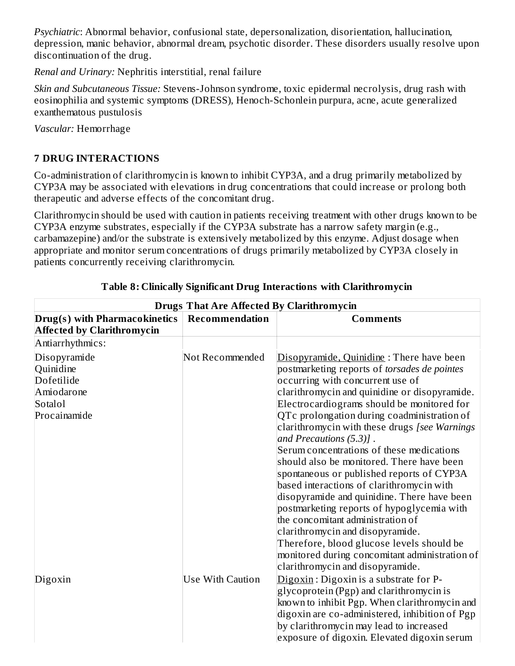*Psychiatric*: Abnormal behavior, confusional state, depersonalization, disorientation, hallucination, depression, manic behavior, abnormal dream, psychotic disorder. These disorders usually resolve upon discontinuation of the drug.

*Renal and Urinary:* Nephritis interstitial, renal failure

*Skin and Subcutaneous Tissue:* Stevens-Johnson syndrome, toxic epidermal necrolysis, drug rash with eosinophilia and systemic symptoms (DRESS), Henoch-Schonlein purpura, acne, acute generalized exanthematous pustulosis

*Vascular:* Hemorrhage

### **7 DRUG INTERACTIONS**

Co-administration of clarithromycin is known to inhibit CYP3A, and a drug primarily metabolized by CYP3A may be associated with elevations in drug concentrations that could increase or prolong both therapeutic and adverse effects of the concomitant drug.

Clarithromycin should be used with caution in patients receiving treatment with other drugs known to be CYP3A enzyme substrates, especially if the CYP3A substrate has a narrow safety margin (e.g., carbamazepine) and/or the substrate is extensively metabolized by this enzyme. Adjust dosage when appropriate and monitor serum concentrations of drugs primarily metabolized by CYP3A closely in patients concurrently receiving clarithromycin.

| <b>Drugs That Are Affected By Clarithromycin</b> |                         |                                                                                                                         |  |
|--------------------------------------------------|-------------------------|-------------------------------------------------------------------------------------------------------------------------|--|
| <b>Drug(s)</b> with Pharmacokinetics             | Recommendation          | <b>Comments</b>                                                                                                         |  |
| <b>Affected by Clarithromycin</b>                |                         |                                                                                                                         |  |
| Antiarrhythmics:                                 |                         |                                                                                                                         |  |
| Disopyramide                                     | Not Recommended         | Disopyramide, Quinidine: There have been                                                                                |  |
| Quinidine                                        |                         | postmarketing reports of torsades de pointes                                                                            |  |
| Dofetilide                                       |                         | occurring with concurrent use of                                                                                        |  |
| Amiodarone                                       |                         | clarithromycin and quinidine or disopyramide.                                                                           |  |
| Sotalol                                          |                         | Electrocardiograms should be monitored for                                                                              |  |
| Procainamide                                     |                         | QTc prolongation during coadministration of<br>clarithromycin with these drugs [see Warnings<br>and Precautions (5.3)]. |  |
|                                                  |                         | Serum concentrations of these medications<br>should also be monitored. There have been                                  |  |
|                                                  |                         | spontaneous or published reports of CYP3A                                                                               |  |
|                                                  |                         | based interactions of clarithromycin with                                                                               |  |
|                                                  |                         | disopyramide and quinidine. There have been                                                                             |  |
|                                                  |                         | postmarketing reports of hypoglycemia with                                                                              |  |
|                                                  |                         | the concomitant administration of                                                                                       |  |
|                                                  |                         | clarithromycin and disopyramide.                                                                                        |  |
|                                                  |                         | Therefore, blood glucose levels should be                                                                               |  |
|                                                  |                         | monitored during concomitant administration of                                                                          |  |
|                                                  |                         | clarithromycin and disopyramide.                                                                                        |  |
| Digoxin                                          | <b>Use With Caution</b> | Digoxin: Digoxin is a substrate for P-                                                                                  |  |
|                                                  |                         | glycoprotein (Pgp) and clarithromycin is                                                                                |  |
|                                                  |                         | known to inhibit Pgp. When clarithromycin and                                                                           |  |
|                                                  |                         | digoxin are co-administered, inhibition of Pgp                                                                          |  |
|                                                  |                         | by clarithromycin may lead to increased                                                                                 |  |
|                                                  |                         | exposure of digoxin. Elevated digoxin serum                                                                             |  |

#### **Table 8: Clinically Significant Drug Interactions with Clarithromycin**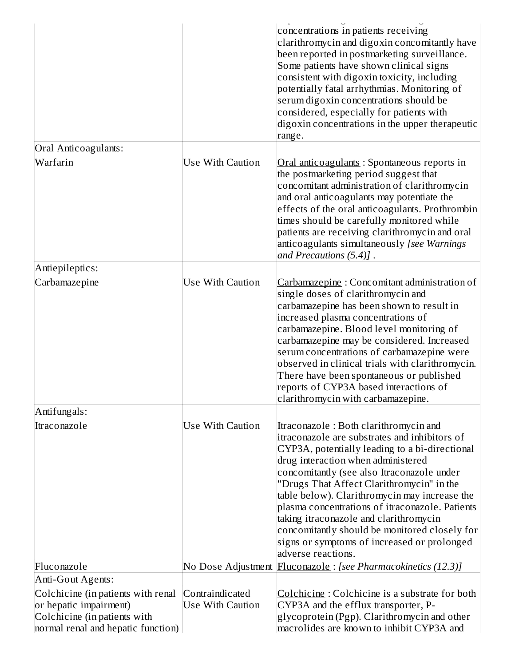| Oral Anticoagulants:                                               |                         | concentrations in patients receiving<br>clarithromycin and digoxin concomitantly have<br>been reported in postmarketing surveillance.<br>Some patients have shown clinical signs<br>consistent with digoxin toxicity, including<br>potentially fatal arrhythmias. Monitoring of<br>serum digoxin concentrations should be<br>considered, especially for patients with<br>digoxin concentrations in the upper therapeutic<br>range.                                                                                                            |
|--------------------------------------------------------------------|-------------------------|-----------------------------------------------------------------------------------------------------------------------------------------------------------------------------------------------------------------------------------------------------------------------------------------------------------------------------------------------------------------------------------------------------------------------------------------------------------------------------------------------------------------------------------------------|
|                                                                    |                         |                                                                                                                                                                                                                                                                                                                                                                                                                                                                                                                                               |
| Warfarin                                                           | Use With Caution        | Oral anticoagulants: Spontaneous reports in<br>the postmarketing period suggest that<br>concomitant administration of clarithromycin<br>and oral anticoagulants may potentiate the<br>effects of the oral anticoagulants. Prothrombin<br>times should be carefully monitored while<br>patients are receiving clarithromycin and oral<br>anticoagulants simultaneously [see Warnings<br>and Precautions (5.4)].                                                                                                                                |
| Antiepileptics:                                                    |                         |                                                                                                                                                                                                                                                                                                                                                                                                                                                                                                                                               |
| Carbamazepine                                                      | Use With Caution        | Carbamazepine: Concomitant administration of<br>single doses of clarithromycin and<br>carbamazepine has been shown to result in<br>increased plasma concentrations of<br>carbamazepine. Blood level monitoring of<br>carbamazepine may be considered. Increased<br>serum concentrations of carbamazepine were<br>observed in clinical trials with clarithromycin.<br>There have been spontaneous or published<br>reports of CYP3A based interactions of<br>clarithromycin with carbamazepine.                                                 |
| Antifungals:                                                       |                         |                                                                                                                                                                                                                                                                                                                                                                                                                                                                                                                                               |
| Itraconazole                                                       | <b>Use With Caution</b> | Itraconazole: Both clarithromycin and<br>itraconazole are substrates and inhibitors of<br>CYP3A, potentially leading to a bi-directional<br>drug interaction when administered<br>concomitantly (see also Itraconazole under<br>"Drugs That Affect Clarithromycin" in the<br>table below). Clarithromycin may increase the<br>plasma concentrations of itraconazole. Patients<br>taking itraconazole and clarithromycin<br>concomitantly should be monitored closely for<br>signs or symptoms of increased or prolonged<br>adverse reactions. |
| Fluconazole                                                        |                         | No Dose Adjustment Fluconazole : [see Pharmacokinetics (12.3)]                                                                                                                                                                                                                                                                                                                                                                                                                                                                                |
| Anti-Gout Agents:                                                  |                         |                                                                                                                                                                                                                                                                                                                                                                                                                                                                                                                                               |
| Colchicine (in patients with renal                                 | Contraindicated         | Colchicine: Colchicine is a substrate for both                                                                                                                                                                                                                                                                                                                                                                                                                                                                                                |
| or hepatic impairment)                                             | <b>Use With Caution</b> | CYP3A and the efflux transporter, P-                                                                                                                                                                                                                                                                                                                                                                                                                                                                                                          |
| Colchicine (in patients with<br>normal renal and hepatic function) |                         | glycoprotein (Pgp). Clarithromycin and other<br>macrolides are known to inhibit CYP3A and                                                                                                                                                                                                                                                                                                                                                                                                                                                     |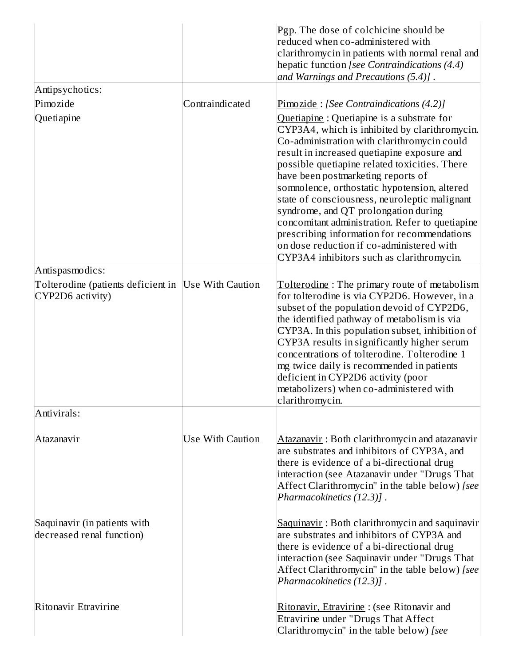|                                                           |                  | Pgp. The dose of colchicine should be<br>reduced when co-administered with<br>clarithromycin in patients with normal renal and<br>hepatic function [see Contraindications (4.4)<br>and Warnings and Precautions (5.4)].                                                                                                                                                                                                                                                                                                                                                                                              |
|-----------------------------------------------------------|------------------|----------------------------------------------------------------------------------------------------------------------------------------------------------------------------------------------------------------------------------------------------------------------------------------------------------------------------------------------------------------------------------------------------------------------------------------------------------------------------------------------------------------------------------------------------------------------------------------------------------------------|
| Antipsychotics:                                           |                  |                                                                                                                                                                                                                                                                                                                                                                                                                                                                                                                                                                                                                      |
| Pimozide                                                  | Contraindicated  | $Pimozide$ : [See Contraindications (4.2)]                                                                                                                                                                                                                                                                                                                                                                                                                                                                                                                                                                           |
| Quetiapine                                                |                  | Quetiapine: Quetiapine is a substrate for<br>CYP3A4, which is inhibited by clarithromycin.<br>Co-administration with clarithromycin could<br>result in increased quetiapine exposure and<br>possible quetiapine related toxicities. There<br>have been postmarketing reports of<br>somnolence, orthostatic hypotension, altered<br>state of consciousness, neuroleptic malignant<br>syndrome, and QT prolongation during<br>concomitant administration. Refer to quetiapine<br>prescribing information for recommendations<br>on dose reduction if co-administered with<br>CYP3A4 inhibitors such as clarithromycin. |
| Antispasmodics:                                           |                  |                                                                                                                                                                                                                                                                                                                                                                                                                                                                                                                                                                                                                      |
| Tolterodine (patients deficient in<br>CYP2D6 activity)    | Use With Caution | Tolterodine: The primary route of metabolism<br>for tolterodine is via CYP2D6. However, in a<br>subset of the population devoid of CYP2D6,<br>the identified pathway of metabolism is via<br>CYP3A. In this population subset, inhibition of<br>CYP3A results in significantly higher serum<br>concentrations of tolterodine. Tolterodine 1<br>mg twice daily is recommended in patients<br>deficient in CYP2D6 activity (poor<br>metabolizers) when co-administered with<br>clarithromycin.                                                                                                                         |
| Antivirals:                                               |                  |                                                                                                                                                                                                                                                                                                                                                                                                                                                                                                                                                                                                                      |
| Atazanavir                                                | Use With Caution | Atazanavir: Both clarithromycin and atazanavir<br>are substrates and inhibitors of CYP3A, and<br>there is evidence of a bi-directional drug<br>interaction (see Atazanavir under "Drugs That<br>Affect Clarithromycin" in the table below) [see]<br>Pharmacokinetics (12.3)].                                                                                                                                                                                                                                                                                                                                        |
| Saquinavir (in patients with<br>decreased renal function) |                  | Saquinavir: Both clarithromycin and saquinavir<br>are substrates and inhibitors of CYP3A and<br>there is evidence of a bi-directional drug<br>interaction (see Saquinavir under "Drugs That<br>Affect Clarithromycin" in the table below) [see<br>Pharmacokinetics (12.3)].                                                                                                                                                                                                                                                                                                                                          |
| Ritonavir Etravirine                                      |                  | Ritonavir, Etravirine : (see Ritonavir and<br>Etravirine under "Drugs That Affect<br>Clarithromycin" in the table below) [see                                                                                                                                                                                                                                                                                                                                                                                                                                                                                        |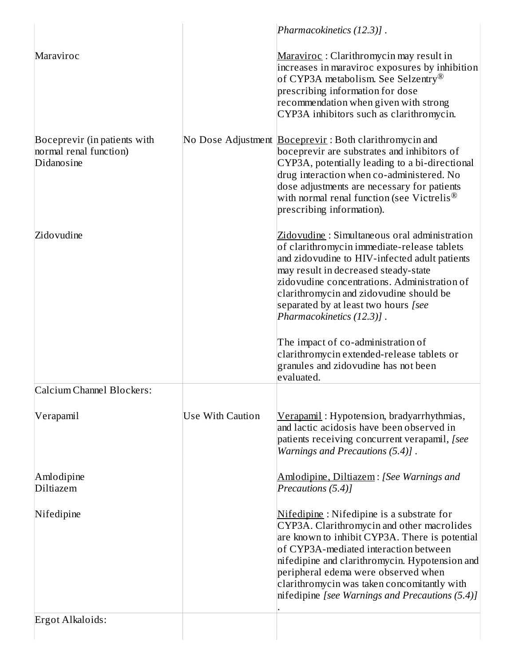|                                                                      |                  | Pharmacokinetics (12.3)].                                                                                                                                                                                                                                                                                                                                                                                                                                                        |
|----------------------------------------------------------------------|------------------|----------------------------------------------------------------------------------------------------------------------------------------------------------------------------------------------------------------------------------------------------------------------------------------------------------------------------------------------------------------------------------------------------------------------------------------------------------------------------------|
| Maraviroc                                                            |                  | Maraviroc: Clarithromycin may result in<br>increases in maraviroc exposures by inhibition<br>of CYP3A metabolism. See Selzentry <sup>®</sup><br>prescribing information for dose<br>recommendation when given with strong<br>CYP3A inhibitors such as clarithromycin.                                                                                                                                                                                                            |
| Boceprevir (in patients with<br>normal renal function)<br>Didanosine |                  | No Dose Adjustment <b>Boceprevir</b> : Both clarithromycin and<br>boceprevir are substrates and inhibitors of<br>CYP3A, potentially leading to a bi-directional<br>drug interaction when co-administered. No<br>dose adjustments are necessary for patients<br>with normal renal function (see Victrelis <sup>®</sup><br>prescribing information).                                                                                                                               |
| Zidovudine                                                           |                  | Zidovudine: Simultaneous oral administration<br>of clarithromycin immediate-release tablets<br>and zidovudine to HIV-infected adult patients<br>may result in decreased steady-state<br>zidovudine concentrations. Administration of<br>clarithromycin and zidovudine should be<br>separated by at least two hours [see<br>Pharmacokinetics (12.3)].<br>The impact of co-administration of<br>clarithromycin extended-release tablets or<br>granules and zidovudine has not been |
| Calcium Channel Blockers:                                            |                  | evaluated.                                                                                                                                                                                                                                                                                                                                                                                                                                                                       |
| Verapamil                                                            | Use With Caution | Verapamil: Hypotension, bradyarrhythmias,<br>and lactic acidosis have been observed in<br>patients receiving concurrent verapamil, [see<br>Warnings and Precautions (5.4)].                                                                                                                                                                                                                                                                                                      |
| Amlodipine<br>Diltiazem                                              |                  | Amlodipine, Diltiazem: [See Warnings and<br>Precautions (5.4)]                                                                                                                                                                                                                                                                                                                                                                                                                   |
| Nifedipine                                                           |                  | Nifedipine: Nifedipine is a substrate for<br>CYP3A. Clarithromycin and other macrolides<br>are known to inhibit CYP3A. There is potential<br>of CYP3A-mediated interaction between<br>nifedipine and clarithromycin. Hypotension and<br>peripheral edema were observed when<br>clarithromycin was taken concomitantly with<br>nifedipine [see Warnings and Precautions (5.4)]                                                                                                    |
| Ergot Alkaloids:                                                     |                  |                                                                                                                                                                                                                                                                                                                                                                                                                                                                                  |
|                                                                      |                  |                                                                                                                                                                                                                                                                                                                                                                                                                                                                                  |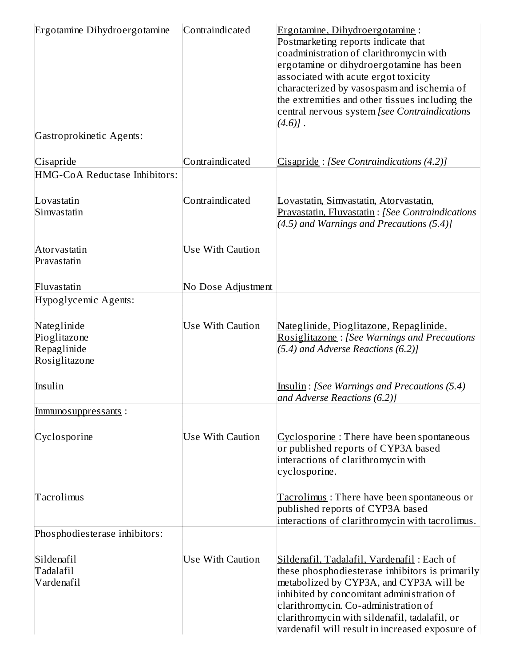| Ergotamine Dihydroergotamine                                | Contraindicated         | Ergotamine, Dihydroergotamine:<br>Postmarketing reports indicate that<br>coadministration of clarithromycin with<br>ergotamine or dihydroergotamine has been<br>associated with acute ergot toxicity<br>characterized by vasospasm and ischemia of<br>the extremities and other tissues including the<br>central nervous system [see Contraindications<br>$(4.6)$ ]. |
|-------------------------------------------------------------|-------------------------|----------------------------------------------------------------------------------------------------------------------------------------------------------------------------------------------------------------------------------------------------------------------------------------------------------------------------------------------------------------------|
| Gastroprokinetic Agents:                                    |                         |                                                                                                                                                                                                                                                                                                                                                                      |
| Cisapride                                                   | Contraindicated         | Cisapride: [See Contraindications (4.2)]                                                                                                                                                                                                                                                                                                                             |
| HMG-CoA Reductase Inhibitors:                               |                         |                                                                                                                                                                                                                                                                                                                                                                      |
| Lovastatin<br>Simvastatin                                   | Contraindicated         | Lovastatin, Simvastatin, Atorvastatin,<br>Pravastatin, Fluvastatin: [See Contraindications<br>$(4.5)$ and Warnings and Precautions $(5.4)$                                                                                                                                                                                                                           |
| Atorvastatin<br>Pravastatin                                 | Use With Caution        |                                                                                                                                                                                                                                                                                                                                                                      |
| Fluvastatin                                                 | No Dose Adjustment      |                                                                                                                                                                                                                                                                                                                                                                      |
| Hypoglycemic Agents:                                        |                         |                                                                                                                                                                                                                                                                                                                                                                      |
| Nateglinide<br>Pioglitazone<br>Repaglinide<br>Rosiglitazone | <b>Use With Caution</b> | Nateglinide, Pioglitazone, Repaglinide,<br><b>Rosiglitazone: [See Warnings and Precautions</b><br>(5.4) and Adverse Reactions (6.2)]                                                                                                                                                                                                                                 |
| Insulin                                                     |                         | <b>Insulin: [See Warnings and Precautions (5.4)</b><br>and Adverse Reactions (6.2)]                                                                                                                                                                                                                                                                                  |
| Immuno suppressants:                                        |                         |                                                                                                                                                                                                                                                                                                                                                                      |
| Cyclosporine                                                | <b>Use With Caution</b> | Cyclosporine: There have been spontaneous<br>or published reports of CYP3A based<br>interactions of clarithromycin with<br>cyclosporine.                                                                                                                                                                                                                             |
| Tacrolimus                                                  |                         | <u> Tacrolimus</u> : There have been spontaneous or<br>published reports of CYP3A based<br>interactions of clarithromycin with tacrolimus.                                                                                                                                                                                                                           |
| Phosphodiesterase inhibitors:                               |                         |                                                                                                                                                                                                                                                                                                                                                                      |
| Sildenafil<br>Tadalafil<br>Vardenafil                       | Use With Caution        | Sildenafil, Tadalafil, Vardenafil: Each of<br>these phosphodiesterase inhibitors is primarily<br>metabolized by CYP3A, and CYP3A will be<br>inhibited by concomitant administration of<br>clarithromycin. Co-administration of<br>clarithromycin with sildenafil, tadalafil, or<br>vardenafil will result in increased exposure of                                   |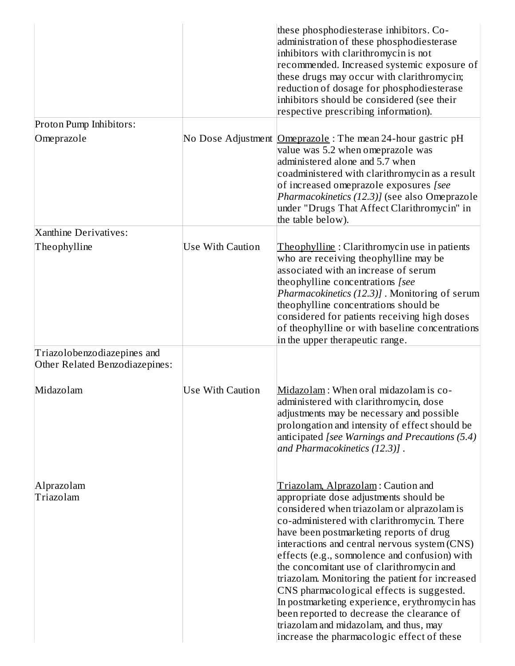|                                                               |                         | these phosphodiesterase inhibitors. Co-<br>administration of these phosphodiesterase<br>inhibitors with clarithromycin is not<br>recommended. Increased systemic exposure of<br>these drugs may occur with clarithromycin;<br>reduction of dosage for phosphodiesterase<br>inhibitors should be considered (see their<br>respective prescribing information).                                                                                                                                                                                                                                                                                             |
|---------------------------------------------------------------|-------------------------|-----------------------------------------------------------------------------------------------------------------------------------------------------------------------------------------------------------------------------------------------------------------------------------------------------------------------------------------------------------------------------------------------------------------------------------------------------------------------------------------------------------------------------------------------------------------------------------------------------------------------------------------------------------|
| Proton Pump Inhibitors:                                       |                         |                                                                                                                                                                                                                                                                                                                                                                                                                                                                                                                                                                                                                                                           |
| Omeprazole                                                    |                         | No Dose Adjustment <b>Omeprazole</b> : The mean 24-hour gastric pH<br>value was 5.2 when omeprazole was<br>administered alone and 5.7 when<br>coadministered with clarithromycin as a result<br>of increased omeprazole exposures [see<br>Pharmacokinetics (12.3)] (see also Omeprazole<br>under "Drugs That Affect Clarithromycin" in<br>the table below).                                                                                                                                                                                                                                                                                               |
| Xanthine Derivatives:                                         | <b>Use With Caution</b> |                                                                                                                                                                                                                                                                                                                                                                                                                                                                                                                                                                                                                                                           |
| Theophylline                                                  |                         | Theophylline: Clarithromycin use in patients<br>who are receiving theophylline may be<br>associated with an increase of serum<br>theophylline concentrations [see<br>Pharmacokinetics (12.3)] . Monitoring of serum<br>theophylline concentrations should be<br>considered for patients receiving high doses<br>of theophylline or with baseline concentrations<br>in the upper therapeutic range.                                                                                                                                                                                                                                                        |
| Triazolobenzodiazepines and<br>Other Related Benzodiazepines: |                         |                                                                                                                                                                                                                                                                                                                                                                                                                                                                                                                                                                                                                                                           |
| Midazolam                                                     | <b>Use With Caution</b> | Midazolam: When oral midazolam is co-<br>administered with clarithromycin, dose<br>adjustments may be necessary and possible<br>prolongation and intensity of effect should be<br>anticipated [see Warnings and Precautions (5.4)<br>and Pharmacokinetics (12.3)].                                                                                                                                                                                                                                                                                                                                                                                        |
| Alprazolam<br>Triazolam                                       |                         | Triazolam, Alprazolam: Caution and<br>appropriate dose adjustments should be<br>considered when triazolam or alprazolam is<br>co-administered with clarithromycin. There<br>have been postmarketing reports of drug<br>interactions and central nervous system (CNS)<br>effects (e.g., sommolence and confusion) with<br>the concomitant use of clarithromycin and<br>triazolam. Monitoring the patient for increased<br>CNS pharmacological effects is suggested.<br>In postmarketing experience, erythromycin has<br>been reported to decrease the clearance of<br>triazolam and midazolam, and thus, may<br>increase the pharmacologic effect of these |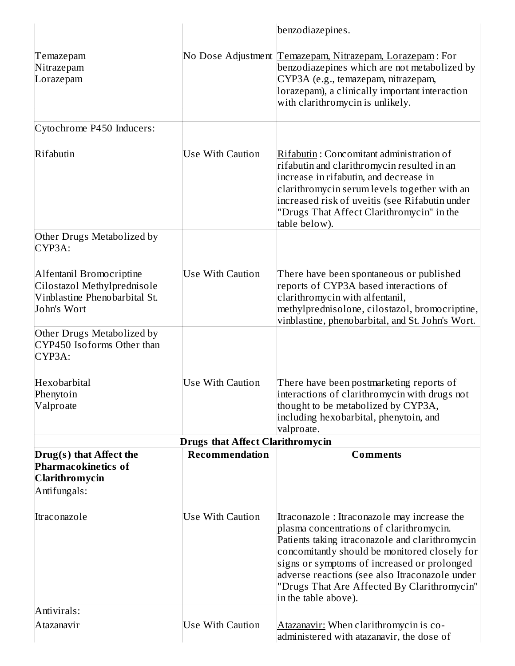|                                                                                                         |                                         | benzodiazepines.                                                                                                                                                                                                                                                                                                                                                    |
|---------------------------------------------------------------------------------------------------------|-----------------------------------------|---------------------------------------------------------------------------------------------------------------------------------------------------------------------------------------------------------------------------------------------------------------------------------------------------------------------------------------------------------------------|
| Temazepam<br>Nitrazepam<br>Lorazepam                                                                    |                                         | No Dose Adjustment Temazepam, Nitrazepam, Lorazepam: For<br>benzodiazepines which are not metabolized by<br>CYP3A (e.g., temazepam, nitrazepam,<br>lorazepam), a clinically important interaction<br>with clarithromycin is unlikely.                                                                                                                               |
| Cytochrome P450 Inducers:                                                                               |                                         |                                                                                                                                                                                                                                                                                                                                                                     |
| Rifabutin                                                                                               | Use With Caution                        | Rifabutin: Concomitant administration of<br>rifabutin and clarithromycin resulted in an<br>increase in rifabutin, and decrease in<br>clarithromycin serum levels together with an<br>increased risk of uveitis (see Rifabutin under<br>"Drugs That Affect Clarithromycin" in the<br>table below).                                                                   |
| Other Drugs Metabolized by<br>CYP3A:                                                                    |                                         |                                                                                                                                                                                                                                                                                                                                                                     |
| Alfentanil Bromocriptine<br>Cilostazol Methylprednisole<br>Vinblastine Phenobarbital St.<br>John's Wort | Use With Caution                        | There have been spontaneous or published<br>reports of CYP3A based interactions of<br>clarithromycin with alfentanil,<br>methylprednisolone, cilostazol, bromocriptine,<br>vinblastine, phenobarbital, and St. John's Wort.                                                                                                                                         |
| Other Drugs Metabolized by<br>CYP450 Isoforms Other than<br>CYP3A:                                      |                                         |                                                                                                                                                                                                                                                                                                                                                                     |
| Hexobarbital<br>Phenytoin<br>Valproate                                                                  | Use With Caution                        | There have been postmarketing reports of<br>interactions of clarithromycin with drugs not<br>thought to be metabolized by CYP3A,<br>including hexobarbital, phenytoin, and<br>valproate.                                                                                                                                                                            |
|                                                                                                         | <b>Drugs that Affect Clarithromycin</b> |                                                                                                                                                                                                                                                                                                                                                                     |
| Drug(s) that Affect the<br><b>Pharmacokinetics of</b><br><b>Clarithromycin</b><br>Antifungals:          | Recommendation                          | <b>Comments</b>                                                                                                                                                                                                                                                                                                                                                     |
| Itraconazole                                                                                            | Use With Caution                        | Itraconazole: Itraconazole may increase the<br>plasma concentrations of clarithromycin.<br>Patients taking itraconazole and clarithromycin<br>concomitantly should be monitored closely for<br>signs or symptoms of increased or prolonged<br>adverse reactions (see also Itraconazole under<br>"Drugs That Are Affected By Clarithromycin"<br>in the table above). |
| Antivirals:                                                                                             |                                         |                                                                                                                                                                                                                                                                                                                                                                     |
| Atazanavir                                                                                              | Use With Caution                        | Atazanavir: When clarithromycin is co-<br>administered with atazanavir, the dose of                                                                                                                                                                                                                                                                                 |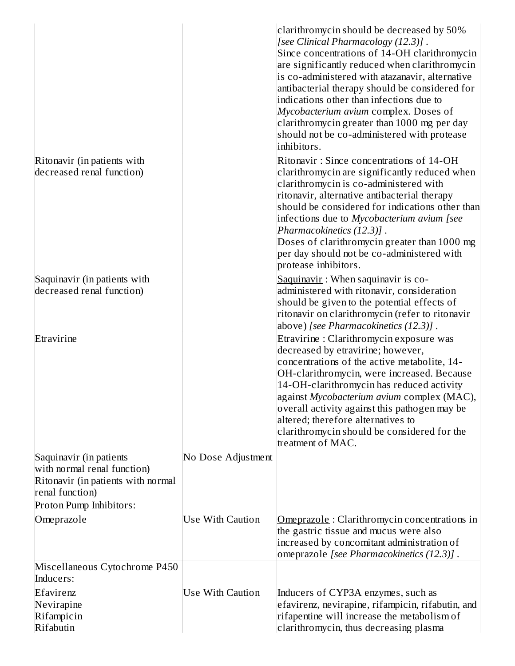|                                                                                                                 |                    | clarithromycin should be decreased by 50%<br>[see Clinical Pharmacology (12.3)].<br>Since concentrations of 14-OH clarithromycin<br>are significantly reduced when clarithromycin<br>is co-administered with atazanavir, alternative<br>antibacterial therapy should be considered for<br>indications other than infections due to<br>Mycobacterium avium complex. Doses of<br>clarithromycin greater than 1000 mg per day<br>should not be co-administered with protease<br>inhibitors. |
|-----------------------------------------------------------------------------------------------------------------|--------------------|------------------------------------------------------------------------------------------------------------------------------------------------------------------------------------------------------------------------------------------------------------------------------------------------------------------------------------------------------------------------------------------------------------------------------------------------------------------------------------------|
| Ritonavir (in patients with<br>decreased renal function)                                                        |                    | Ritonavir: Since concentrations of 14-OH<br>clarithromycin are significantly reduced when<br>clarithromycin is co-administered with<br>ritonavir, alternative antibacterial therapy<br>should be considered for indications other than<br>infections due to Mycobacterium avium [see<br>Pharmacokinetics (12.3)].<br>Doses of clarithromycin greater than 1000 mg<br>per day should not be co-administered with<br>protease inhibitors.                                                  |
| Saquinavir (in patients with<br>decreased renal function)                                                       |                    | Saquinavir: When saquinavir is co-<br>administered with ritonavir, consideration<br>should be given to the potential effects of<br>ritonavir on clarithromycin (refer to ritonavir<br>above) [see Pharmacokinetics (12.3)].                                                                                                                                                                                                                                                              |
| Etravirine                                                                                                      |                    | Etravirine: Clarithromycin exposure was<br>decreased by etravirine; however,<br>concentrations of the active metabolite, 14-<br>OH-clarithromycin, were increased. Because<br>14-OH-clarithromycin has reduced activity<br>against Mycobacterium avium complex (MAC),<br>overall activity against this pathogen may be<br>altered; therefore alternatives to<br>clarithromycin should be considered for the<br>treatment of MAC.                                                         |
| Saquinavir (in patients<br>with normal renal function)<br>Ritonavir (in patients with normal<br>renal function) | No Dose Adjustment |                                                                                                                                                                                                                                                                                                                                                                                                                                                                                          |
| Proton Pump Inhibitors:                                                                                         |                    |                                                                                                                                                                                                                                                                                                                                                                                                                                                                                          |
| Omeprazole                                                                                                      | Use With Caution   | Omeprazole: Clarithromycin concentrations in<br>the gastric tissue and mucus were also<br>increased by concomitant administration of<br>omeprazole [see Pharmacokinetics (12.3)].                                                                                                                                                                                                                                                                                                        |
| Miscellaneous Cytochrome P450<br>Inducers:                                                                      |                    |                                                                                                                                                                                                                                                                                                                                                                                                                                                                                          |
| Efavirenz<br>Nevirapine<br>Rifampicin<br>Rifabutin                                                              | Use With Caution   | Inducers of CYP3A enzymes, such as<br>efavirenz, nevirapine, rifampicin, rifabutin, and<br>rifapentine will increase the metabolism of<br>clarithromycin, thus decreasing plasma                                                                                                                                                                                                                                                                                                         |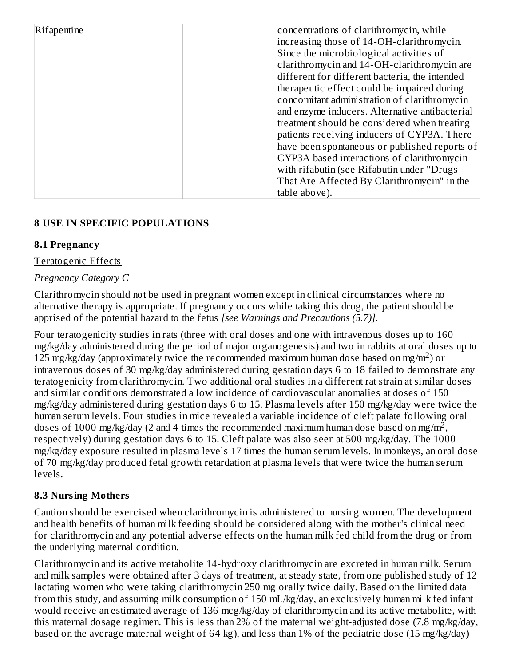| Rifapentine | concentrations of clarithromycin, while<br>increasing those of 14-OH-clarithromycin.<br>Since the microbiological activities of |
|-------------|---------------------------------------------------------------------------------------------------------------------------------|
|             | clarithromycin and 14-OH-clarithromycin are                                                                                     |
|             | different for different bacteria, the intended                                                                                  |
|             | therapeutic effect could be impaired during                                                                                     |
|             | concomitant administration of clarithromycin                                                                                    |
|             | and enzyme inducers. Alternative antibacterial                                                                                  |
|             | treatment should be considered when treating                                                                                    |
|             | patients receiving inducers of CYP3A. There                                                                                     |
|             | have been spontaneous or published reports of                                                                                   |
|             | CYP3A based interactions of clarithromycin                                                                                      |
|             | with rifabutin (see Rifabutin under "Drugs                                                                                      |
|             | That Are Affected By Clarithromycin" in the                                                                                     |
|             | table above).                                                                                                                   |

### **8 USE IN SPECIFIC POPULATIONS**

#### **8.1 Pregnancy**

#### Teratogenic Effects

#### *Pregnancy Category C*

Clarithromycin should not be used in pregnant women except in clinical circumstances where no alternative therapy is appropriate. If pregnancy occurs while taking this drug, the patient should be apprised of the potential hazard to the fetus *[see Warnings and Precautions (5.7)]*.

Four teratogenicity studies in rats (three with oral doses and one with intravenous doses up to 160 mg/kg/day administered during the period of major organogenesis) and two in rabbits at oral doses up to 125 mg/kg/day (approximately twice the recommended maximum human dose based on mg/m<sup>2</sup>) or intravenous doses of 30 mg/kg/day administered during gestation days 6 to 18 failed to demonstrate any teratogenicity from clarithromycin. Two additional oral studies in a different rat strain at similar doses and similar conditions demonstrated a low incidence of cardiovascular anomalies at doses of 150 mg/kg/day administered during gestation days 6 to 15. Plasma levels after 150 mg/kg/day were twice the human serum levels. Four studies in mice revealed a variable incidence of cleft palate following oral doses of 1000 mg/kg/day (2 and 4 times the recommended maximum human dose based on mg/m<sup>2</sup>, respectively) during gestation days 6 to 15. Cleft palate was also seen at 500 mg/kg/day. The 1000 mg/kg/day exposure resulted in plasma levels 17 times the human serum levels. In monkeys, an oral dose of 70 mg/kg/day produced fetal growth retardation at plasma levels that were twice the human serum levels.

#### **8.3 Nursing Mothers**

Caution should be exercised when clarithromycin is administered to nursing women. The development and health benefits of human milk feeding should be considered along with the mother's clinical need for clarithromycin and any potential adverse effects on the human milk fed child from the drug or from the underlying maternal condition.

Clarithromycin and its active metabolite 14-hydroxy clarithromycin are excreted in human milk. Serum and milk samples were obtained after 3 days of treatment, at steady state, from one published study of 12 lactating women who were taking clarithromycin 250 mg orally twice daily. Based on the limited data from this study, and assuming milk consumption of 150 mL/kg/day, an exclusively human milk fed infant would receive an estimated average of 136 mcg/kg/day of clarithromycin and its active metabolite, with this maternal dosage regimen. This is less than 2% of the maternal weight-adjusted dose (7.8 mg/kg/day, based on the average maternal weight of 64 kg), and less than 1% of the pediatric dose (15 mg/kg/day)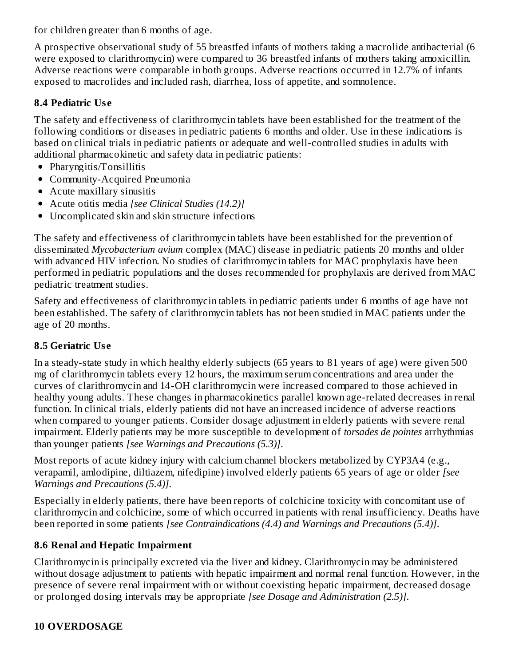for children greater than 6 months of age.

A prospective observational study of 55 breastfed infants of mothers taking a macrolide antibacterial (6 were exposed to clarithromycin) were compared to 36 breastfed infants of mothers taking amoxicillin. Adverse reactions were comparable in both groups. Adverse reactions occurred in 12.7% of infants exposed to macrolides and included rash, diarrhea, loss of appetite, and somnolence.

### **8.4 Pediatric Us e**

The safety and effectiveness of clarithromycin tablets have been established for the treatment of the following conditions or diseases in pediatric patients 6 months and older. Use in these indications is based on clinical trials in pediatric patients or adequate and well-controlled studies in adults with additional pharmacokinetic and safety data in pediatric patients:

- Pharyngitis/Tonsillitis
- Community-Acquired Pneumonia
- Acute maxillary sinusitis
- Acute otitis media *[see Clinical Studies (14.2)]*
- Uncomplicated skin and skin structure infections

The safety and effectiveness of clarithromycin tablets have been established for the prevention of disseminated *Mycobacterium avium* complex (MAC) disease in pediatric patients 20 months and older with advanced HIV infection. No studies of clarithromycin tablets for MAC prophylaxis have been performed in pediatric populations and the doses recommended for prophylaxis are derived from MAC pediatric treatment studies.

Safety and effectiveness of clarithromycin tablets in pediatric patients under 6 months of age have not been established. The safety of clarithromycin tablets has not been studied in MAC patients under the age of 20 months.

### **8.5 Geriatric Us e**

In a steady-state study in which healthy elderly subjects (65 years to 81 years of age) were given 500 mg of clarithromycin tablets every 12 hours, the maximum serum concentrations and area under the curves of clarithromycin and 14-OH clarithromycin were increased compared to those achieved in healthy young adults. These changes in pharmacokinetics parallel known age-related decreases in renal function. In clinical trials, elderly patients did not have an increased incidence of adverse reactions when compared to younger patients. Consider dosage adjustment in elderly patients with severe renal impairment. Elderly patients may be more susceptible to development of *torsades de pointes* arrhythmias than younger patients *[see Warnings and Precautions (5.3)]*.

Most reports of acute kidney injury with calcium channel blockers metabolized by CYP3A4 (e.g., verapamil, amlodipine, diltiazem, nifedipine) involved elderly patients 65 years of age or older *[see Warnings and Precautions (5.4)]*.

Especially in elderly patients, there have been reports of colchicine toxicity with concomitant use of clarithromycin and colchicine, some of which occurred in patients with renal insufficiency. Deaths have been reported in some patients *[see Contraindications (4.4) and Warnings and Precautions (5.4)]*.

### **8.6 Renal and Hepatic Impairment**

Clarithromycin is principally excreted via the liver and kidney. Clarithromycin may be administered without dosage adjustment to patients with hepatic impairment and normal renal function. However, in the presence of severe renal impairment with or without coexisting hepatic impairment, decreased dosage or prolonged dosing intervals may be appropriate *[see Dosage and Administration (2.5)]*.

# **10 OVERDOSAGE**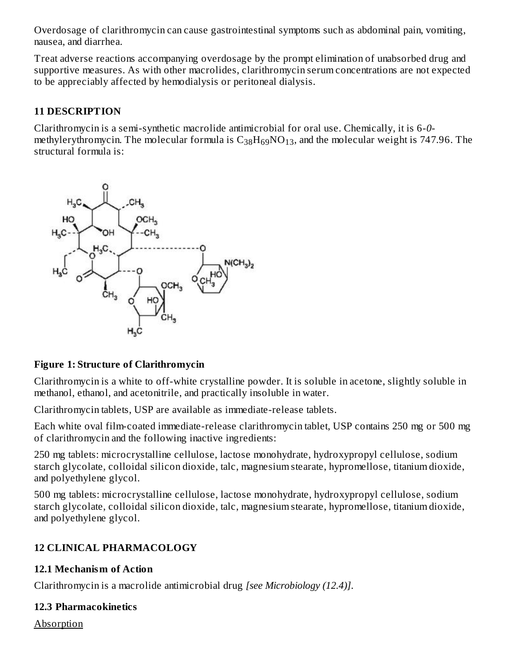Overdosage of clarithromycin can cause gastrointestinal symptoms such as abdominal pain, vomiting, nausea, and diarrhea.

Treat adverse reactions accompanying overdosage by the prompt elimination of unabsorbed drug and supportive measures. As with other macrolides, clarithromycin serum concentrations are not expected to be appreciably affected by hemodialysis or peritoneal dialysis.

### **11 DESCRIPTION**

Clarithromycin is a semi-synthetic macrolide antimicrobial for oral use. Chemically, it is 6-*0* methylerythromycin. The molecular formula is  $\rm{C_{38}H_{69}NO_{13}}$ , and the molecular weight is 747.96. The structural formula is:



#### **Figure 1: Structure of Clarithromycin**

Clarithromycin is a white to off-white crystalline powder. It is soluble in acetone, slightly soluble in methanol, ethanol, and acetonitrile, and practically insoluble in water.

Clarithromycin tablets, USP are available as immediate-release tablets.

Each white oval film-coated immediate-release clarithromycin tablet, USP contains 250 mg or 500 mg of clarithromycin and the following inactive ingredients:

250 mg tablets: microcrystalline cellulose, lactose monohydrate, hydroxypropyl cellulose, sodium starch glycolate, colloidal silicon dioxide, talc, magnesium stearate, hypromellose, titanium dioxide, and polyethylene glycol.

500 mg tablets: microcrystalline cellulose, lactose monohydrate, hydroxypropyl cellulose, sodium starch glycolate, colloidal silicon dioxide, talc, magnesium stearate, hypromellose, titanium dioxide, and polyethylene glycol.

### **12 CLINICAL PHARMACOLOGY**

#### **12.1 Mechanism of Action**

Clarithromycin is a macrolide antimicrobial drug *[see Microbiology (12.4)]*.

#### **12.3 Pharmacokinetics**

Absorption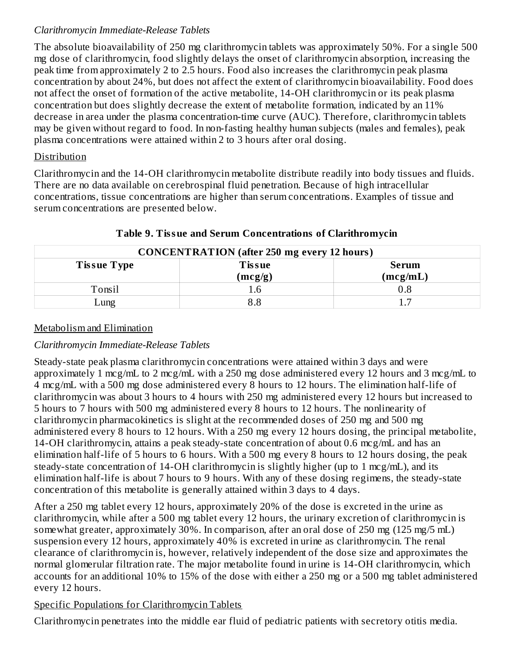### *Clarithromycin Immediate-Release Tablets*

The absolute bioavailability of 250 mg clarithromycin tablets was approximately 50%. For a single 500 mg dose of clarithromycin, food slightly delays the onset of clarithromycin absorption, increasing the peak time from approximately 2 to 2.5 hours. Food also increases the clarithromycin peak plasma concentration by about 24%, but does not affect the extent of clarithromycin bioavailability. Food does not affect the onset of formation of the active metabolite, 14-OH clarithromycin or its peak plasma concentration but does slightly decrease the extent of metabolite formation, indicated by an 11% decrease in area under the plasma concentration-time curve (AUC). Therefore, clarithromycin tablets may be given without regard to food. In non-fasting healthy human subjects (males and females), peak plasma concentrations were attained within 2 to 3 hours after oral dosing.

#### Distribution

Clarithromycin and the 14-OH clarithromycin metabolite distribute readily into body tissues and fluids. There are no data available on cerebrospinal fluid penetration. Because of high intracellular concentrations, tissue concentrations are higher than serum concentrations. Examples of tissue and serum concentrations are presented below.

| <b>CONCENTRATION</b> (after 250 mg every 12 hours)  |         |          |  |  |  |
|-----------------------------------------------------|---------|----------|--|--|--|
| <b>Tissue Type</b><br><b>Tissue</b><br><b>Serum</b> |         |          |  |  |  |
|                                                     | (mcg/g) | (mcg/mL) |  |  |  |
| Tonsil                                              | ī.6     |          |  |  |  |
| Lung                                                |         |          |  |  |  |

#### **Table 9. Tissue and Serum Concentrations of Clarithromycin**

#### Metabolism and Elimination

#### *Clarithromycin Immediate-Release Tablets*

Steady-state peak plasma clarithromycin concentrations were attained within 3 days and were approximately 1 mcg/mL to 2 mcg/mL with a 250 mg dose administered every 12 hours and 3 mcg/mL to 4 mcg/mL with a 500 mg dose administered every 8 hours to 12 hours. The elimination half-life of clarithromycin was about 3 hours to 4 hours with 250 mg administered every 12 hours but increased to 5 hours to 7 hours with 500 mg administered every 8 hours to 12 hours. The nonlinearity of clarithromycin pharmacokinetics is slight at the recommended doses of 250 mg and 500 mg administered every 8 hours to 12 hours. With a 250 mg every 12 hours dosing, the principal metabolite, 14-OH clarithromycin, attains a peak steady-state concentration of about 0.6 mcg/mL and has an elimination half-life of 5 hours to 6 hours. With a 500 mg every 8 hours to 12 hours dosing, the peak steady-state concentration of 14-OH clarithromycin is slightly higher (up to 1 mcg/mL), and its elimination half-life is about 7 hours to 9 hours. With any of these dosing regimens, the steady-state concentration of this metabolite is generally attained within 3 days to 4 days.

After a 250 mg tablet every 12 hours, approximately 20% of the dose is excreted in the urine as clarithromycin, while after a 500 mg tablet every 12 hours, the urinary excretion of clarithromycin is somewhat greater, approximately 30%. In comparison, after an oral dose of 250 mg (125 mg/5 mL) suspension every 12 hours, approximately 40% is excreted in urine as clarithromycin. The renal clearance of clarithromycin is, however, relatively independent of the dose size and approximates the normal glomerular filtration rate. The major metabolite found in urine is 14-OH clarithromycin, which accounts for an additional 10% to 15% of the dose with either a 250 mg or a 500 mg tablet administered every 12 hours.

#### Specific Populations for Clarithromycin Tablets

Clarithromycin penetrates into the middle ear fluid of pediatric patients with secretory otitis media.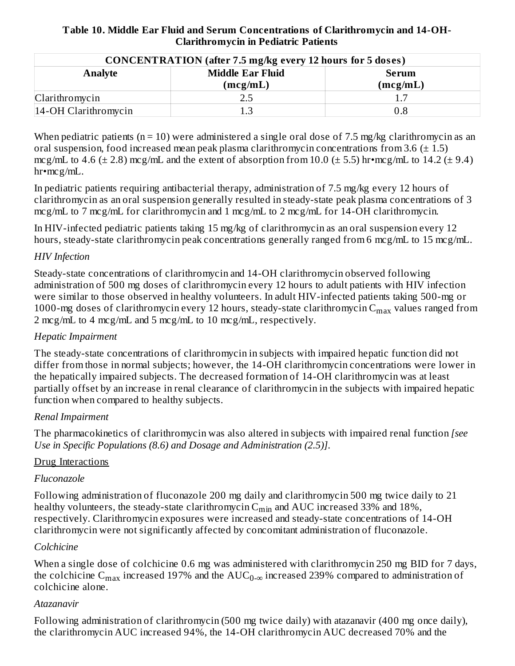**Table 10. Middle Ear Fluid and Serum Concentrations of Clarithromycin and 14-OH-Clarithromycin in Pediatric Patients**

| <b>CONCENTRATION</b> (after 7.5 mg/kg every 12 hours for 5 doses) |                                     |                          |  |  |
|-------------------------------------------------------------------|-------------------------------------|--------------------------|--|--|
| Analyte                                                           | <b>Middle Ear Fluid</b><br>(mcg/mL) | <b>Serum</b><br>(mcg/mL) |  |  |
| Clarithromycin                                                    | 2.5                                 | 17                       |  |  |
| 14-OH Clarithromycin                                              |                                     | $0.8\,$                  |  |  |

When pediatric patients ( $n = 10$ ) were administered a single oral dose of 7.5 mg/kg clarithromycin as an oral suspension, food increased mean peak plasma clarithromycin concentrations from 3.6 ( $\pm$  1.5) mcg/mL to 4.6 ( $\pm$  2.8) mcg/mL and the extent of absorption from 10.0 ( $\pm$  5.5) hr•mcg/mL to 14.2 ( $\pm$  9.4) hr•mcg/mL.

In pediatric patients requiring antibacterial therapy, administration of 7.5 mg/kg every 12 hours of clarithromycin as an oral suspension generally resulted in steady-state peak plasma concentrations of 3 mcg/mL to 7 mcg/mL for clarithromycin and 1 mcg/mL to 2 mcg/mL for 14-OH clarithromycin.

In HIV-infected pediatric patients taking 15 mg/kg of clarithromycin as an oral suspension every 12 hours, steady-state clarithromycin peak concentrations generally ranged from 6 mcg/mL to 15 mcg/mL.

#### *HIV Infection*

Steady-state concentrations of clarithromycin and 14-OH clarithromycin observed following administration of 500 mg doses of clarithromycin every 12 hours to adult patients with HIV infection were similar to those observed in healthy volunteers. In adult HIV-infected patients taking 500-mg or 1000-mg doses of clarithromycin every 12 hours, steady-state clarithromycin  $\rm{C_{max}}$  values ranged from 2 mcg/mL to 4 mcg/mL and 5 mcg/mL to 10 mcg/mL, respectively.

#### *Hepatic Impairment*

The steady-state concentrations of clarithromycin in subjects with impaired hepatic function did not differ from those in normal subjects; however, the 14-OH clarithromycin concentrations were lower in the hepatically impaired subjects. The decreased formation of 14-OH clarithromycin was at least partially offset by an increase in renal clearance of clarithromycin in the subjects with impaired hepatic function when compared to healthy subjects.

#### *Renal Impairment*

The pharmacokinetics of clarithromycin was also altered in subjects with impaired renal function *[see Use in Specific Populations (8.6) and Dosage and Administration (2.5)]*.

#### Drug Interactions

#### *Fluconazole*

Following administration of fluconazole 200 mg daily and clarithromycin 500 mg twice daily to 21 healthy volunteers, the steady-state clarithromycin  $\mathsf{C}_{\min}$  and  $\mathrm{AUC}$  increased 33% and 18%, respectively. Clarithromycin exposures were increased and steady-state concentrations of 14-OH clarithromycin were not significantly affected by concomitant administration of fluconazole.

#### *Colchicine*

When a single dose of colchicine 0.6 mg was administered with clarithromycin 250 mg BID for 7 days, the colchicine  $\rm{C_{max}}$  increased 197% and the  $\rm{AUC_{0-\infty}}$  increased 239% compared to administration of colchicine alone.

#### *Atazanavir*

Following administration of clarithromycin (500 mg twice daily) with atazanavir (400 mg once daily), the clarithromycin AUC increased 94%, the 14-OH clarithromycin AUC decreased 70% and the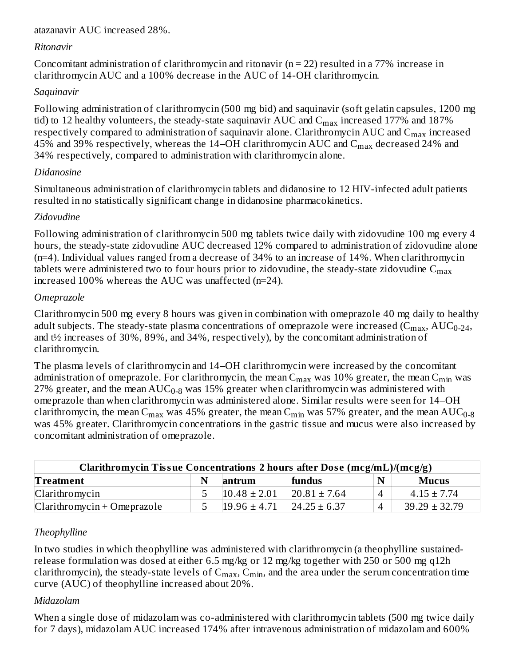#### atazanavir AUC increased 28%.

#### *Ritonavir*

Concomitant administration of clarithromycin and ritonavir ( $n = 22$ ) resulted in a 77% increase in clarithromycin AUC and a 100% decrease in the AUC of 14-OH clarithromycin.

#### *Saquinavir*

Following administration of clarithromycin (500 mg bid) and saquinavir (soft gelatin capsules, 1200 mg tid) to 12 healthy volunteers, the steady-state saquinavir AUC and  $\rm{C_{max}}$  increased 177% and 187% respectively compared to administration of saquinavir alone. Clarithromycin AUC and  $\mathsf{C}_{\max}$  increased 45% and 39% respectively, whereas the 14–OH clarithromycin AUC and  $\rm C_{max}$  decreased 24% and 34% respectively, compared to administration with clarithromycin alone.

#### *Didanosine*

Simultaneous administration of clarithromycin tablets and didanosine to 12 HIV-infected adult patients resulted in no statistically significant change in didanosine pharmacokinetics.

### *Zidovudine*

Following administration of clarithromycin 500 mg tablets twice daily with zidovudine 100 mg every 4 hours, the steady-state zidovudine AUC decreased 12% compared to administration of zidovudine alone (n=4). Individual values ranged from a decrease of 34% to an increase of 14%. When clarithromycin tablets were administered two to four hours prior to zidovudine, the steady-state zidovudine  $\mathsf{C}_{\max}$ increased 100% whereas the AUC was unaffected (n=24).

#### *Omeprazole*

Clarithromycin 500 mg every 8 hours was given in combination with omeprazole 40 mg daily to healthy adult subjects. The steady-state plasma concentrations of omeprazole were increased (C $_{\rm max}$ , AUC $_{\rm 0-24}$ , and t½ increases of 30%, 89%, and 34%, respectively), by the concomitant administration of clarithromycin.

The plasma levels of clarithromycin and 14–OH clarithromycin were increased by the concomitant administration of omeprazole. For clarithromycin, the mean  $\rm{C_{max}}$  was  $10\%$  greater, the mean  $\rm{C_{min}}$  was 27% greater, and the mean  $\mathrm{AUC_{0-8}}$  was 15% greater when clarithromycin was administered with omeprazole than when clarithromycin was administered alone. Similar results were seen for 14–OH clarithromycin, the mean  $\rm{C_{max}}$  was 45% greater, the mean  $\rm{C_{min}}$  was 57% greater, and the mean  $\rm{AUC_{0-8}}$ was 45% greater. Clarithromycin concentrations in the gastric tissue and mucus were also increased by concomitant administration of omeprazole.

| Clarithromycin Tissue Concentrations 2 hours after Dose (mcg/mL)/(mcg/g) |             |                  |                  |           |                   |
|--------------------------------------------------------------------------|-------------|------------------|------------------|-----------|-------------------|
| <b>Treatment</b>                                                         | $\mathbf N$ | antrum           | fundus           | N         | <b>Mucus</b>      |
| Clarithromycin                                                           | C.          | $10.48 \pm 2.01$ | $20.81 \pm 7.64$ | $\Lambda$ | $4.15 \pm 7.74$   |
| $Clarithromycin + Omeprazole$                                            | C           | $19.96 \pm 4.71$ | $24.25 \pm 6.37$ | $\Delta$  | $39.29 \pm 32.79$ |

### *Theophylline*

In two studies in which theophylline was administered with clarithromycin (a theophylline sustainedrelease formulation was dosed at either 6.5 mg/kg or 12 mg/kg together with 250 or 500 mg q12h clarithromycin), the steady-state levels of  $C_{max}$ ,  $C_{min}$ , and the area under the serum concentration time curve (AUC) of theophylline increased about 20%.

#### *Midazolam*

When a single dose of midazolam was co-administered with clarithromycin tablets (500 mg twice daily for 7 days), midazolam AUC increased 174% after intravenous administration of midazolam and 600%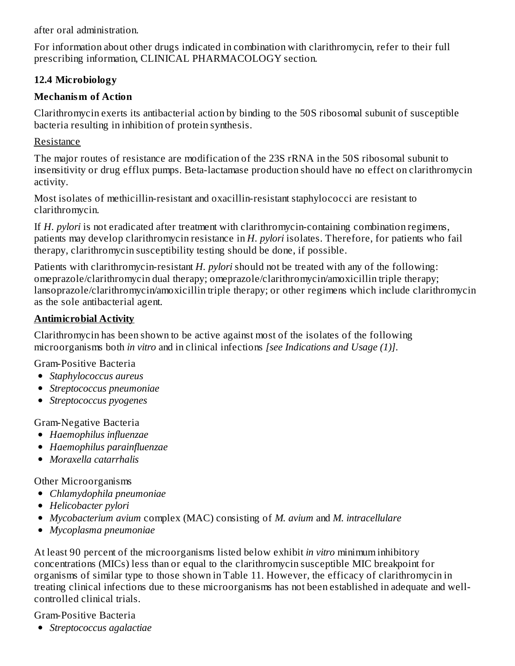after oral administration.

For information about other drugs indicated in combination with clarithromycin, refer to their full prescribing information, CLINICAL PHARMACOLOGY section.

### **12.4 Microbiology**

#### **Mechanism of Action**

Clarithromycin exerts its antibacterial action by binding to the 50S ribosomal subunit of susceptible bacteria resulting in inhibition of protein synthesis.

#### Resistance

The major routes of resistance are modification of the 23S rRNA in the 50S ribosomal subunit to insensitivity or drug efflux pumps. Beta-lactamase production should have no effect on clarithromycin activity.

Most isolates of methicillin-resistant and oxacillin-resistant staphylococci are resistant to clarithromycin.

If *H. pylori* is not eradicated after treatment with clarithromycin-containing combination regimens, patients may develop clarithromycin resistance in *H. pylori* isolates. Therefore, for patients who fail therapy, clarithromycin susceptibility testing should be done, if possible.

Patients with clarithromycin-resistant *H. pylori* should not be treated with any of the following: omeprazole/clarithromycin dual therapy; omeprazole/clarithromycin/amoxicillin triple therapy; lansoprazole/clarithromycin/amoxicillin triple therapy; or other regimens which include clarithromycin as the sole antibacterial agent.

### **Antimicrobial Activity**

Clarithromycin has been shown to be active against most of the isolates of the following microorganisms both *in vitro* and in clinical infections *[see Indications and Usage (1)]*.

Gram-Positive Bacteria

- *Staphylococcus aureus*
- *Streptococcus pneumoniae*
- *Streptococcus pyogenes*

Gram-Negative Bacteria

- *Haemophilus influenzae*
- *Haemophilus parainfluenzae*
- *Moraxella catarrhalis*

Other Microorganisms

- *Chlamydophila pneumoniae*
- *Helicobacter pylori*
- *Mycobacterium avium* complex (MAC) consisting of *M. avium* and *M. intracellulare*
- *Mycoplasma pneumoniae*

At least 90 percent of the microorganisms listed below exhibit *in vitro* minimum inhibitory concentrations (MICs) less than or equal to the clarithromycin susceptible MIC breakpoint for organisms of similar type to those shown in Table 11. However, the efficacy of clarithromycin in treating clinical infections due to these microorganisms has not been established in adequate and wellcontrolled clinical trials.

Gram-Positive Bacteria

*Streptococcus agalactiae*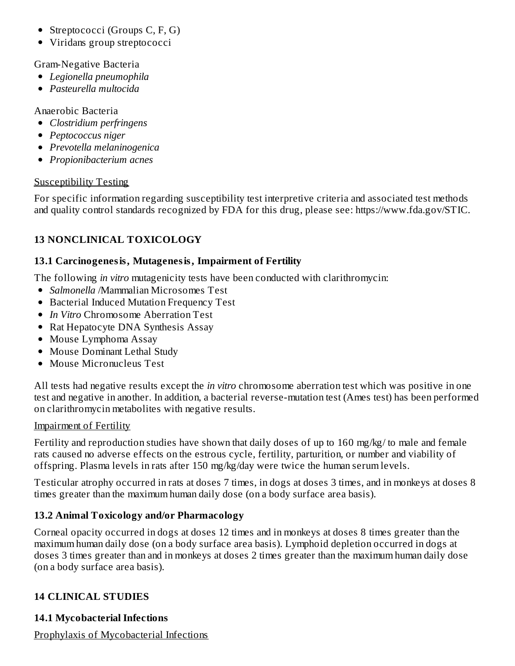- Streptococci (Groups C, F, G)
- Viridans group streptococci

Gram-Negative Bacteria

- *Legionella pneumophila*
- *Pasteurella multocida*

Anaerobic Bacteria

- *Clostridium perfringens*
- *Peptococcus niger*
- *Prevotella melaninogenica*
- *Propionibacterium acnes*

### Susceptibility Testing

For specific information regarding susceptibility test interpretive criteria and associated test methods and quality control standards recognized by FDA for this drug, please see: https://www.fda.gov/STIC.

# **13 NONCLINICAL TOXICOLOGY**

### **13.1 Carcinogenesis, Mutagenesis, Impairment of Fertility**

The following *in vitro* mutagenicity tests have been conducted with clarithromycin:

- *Salmonella* /Mammalian Microsomes Test
- Bacterial Induced Mutation Frequency Test
- *In Vitro* Chromosome Aberration Test
- Rat Hepatocyte DNA Synthesis Assay
- Mouse Lymphoma Assay
- Mouse Dominant Lethal Study
- Mouse Micronucleus Test

All tests had negative results except the *in vitro* chromosome aberration test which was positive in one test and negative in another. In addition, a bacterial reverse-mutation test (Ames test) has been performed on clarithromycin metabolites with negative results.

### Impairment of Fertility

Fertility and reproduction studies have shown that daily doses of up to 160 mg/kg/ to male and female rats caused no adverse effects on the estrous cycle, fertility, parturition, or number and viability of offspring. Plasma levels in rats after 150 mg/kg/day were twice the human serum levels.

Testicular atrophy occurred in rats at doses 7 times, in dogs at doses 3 times, and in monkeys at doses 8 times greater than the maximum human daily dose (on a body surface area basis).

# **13.2 Animal Toxicology and/or Pharmacology**

Corneal opacity occurred in dogs at doses 12 times and in monkeys at doses 8 times greater than the maximum human daily dose (on a body surface area basis). Lymphoid depletion occurred in dogs at doses 3 times greater than and in monkeys at doses 2 times greater than the maximum human daily dose (on a body surface area basis).

# **14 CLINICAL STUDIES**

# **14.1 Mycobacterial Infections**

Prophylaxis of Mycobacterial Infections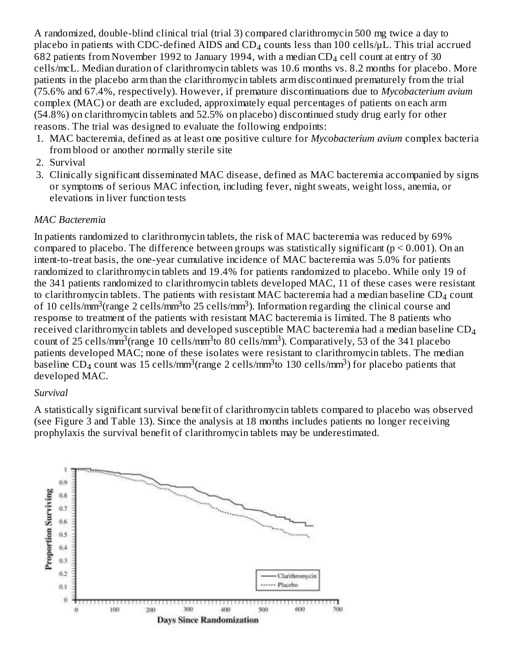A randomized, double-blind clinical trial (trial 3) compared clarithromycin 500 mg twice a day to placebo in patients with CDC-defined AIDS and CD $_4$  counts less than 100 cells/µL. This trial accrued 682 patients from November 1992 to January 1994, with a median CD $_4$  cell count at entry of 30 cells/mcL. Median duration of clarithromycin tablets was 10.6 months vs. 8.2 months for placebo. More patients in the placebo arm than the clarithromycin tablets arm discontinued prematurely from the trial (75.6% and 67.4%, respectively). However, if premature discontinuations due to *Mycobacterium avium* complex (MAC) or death are excluded, approximately equal percentages of patients on each arm (54.8%) on clarithromycin tablets and 52.5% on placebo) discontinued study drug early for other reasons. The trial was designed to evaluate the following endpoints:

- 1. MAC bacteremia, defined as at least one positive culture for *Mycobacterium avium* complex bacteria from blood or another normally sterile site
- 2. Survival
- 3. Clinically significant disseminated MAC disease, defined as MAC bacteremia accompanied by signs or symptoms of serious MAC infection, including fever, night sweats, weight loss, anemia, or elevations in liver function tests

#### *MAC Bacteremia*

In patients randomized to clarithromycin tablets, the risk of MAC bacteremia was reduced by 69% compared to placebo. The difference between groups was statistically significant ( $p \le 0.001$ ). On an intent-to-treat basis, the one-year cumulative incidence of MAC bacteremia was 5.0% for patients randomized to clarithromycin tablets and 19.4% for patients randomized to placebo. While only 19 of the 341 patients randomized to clarithromycin tablets developed MAC, 11 of these cases were resistant to clarithromycin tablets. The patients with resistant MAC bacteremia had a median baseline  $\text{CD}_4$  count of 10 cells/mm<sup>3</sup>(range 2 cells/mm<sup>3</sup>to 25 cells/mm<sup>3</sup>). Information regarding the clinical course and response to treatment of the patients with resistant MAC bacteremia is limited. The 8 patients who received clarithromycin tablets and developed susceptible MAC bacteremia had a median baseline  $\text{\rm CD}_4$ count of 25 cells/mm<sup>3</sup>(range 10 cells/mm<sup>3</sup>to 80 cells/mm<sup>3</sup>). Comparatively, 53 of the 341 placebo patients developed MAC; none of these isolates were resistant to clarithromycin tablets. The median baseline CD<sub>4</sub> count was 15 cells/mm<sup>3</sup>(range 2 cells/mm<sup>3</sup>to 130 cells/mm<sup>3</sup>) for placebo patients that developed MAC.

#### *Survival*

A statistically significant survival benefit of clarithromycin tablets compared to placebo was observed (see Figure 3 and Table 13). Since the analysis at 18 months includes patients no longer receiving prophylaxis the survival benefit of clarithromycin tablets may be underestimated.

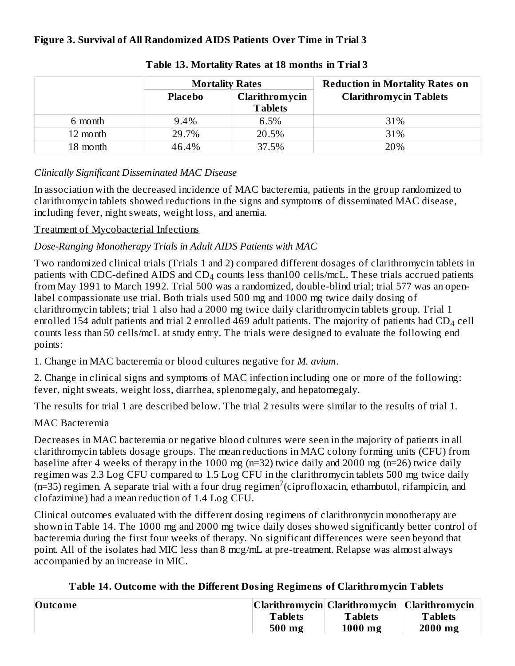### **Figure 3. Survival of All Randomized AIDS Patients Over Time in Trial 3**

|          | <b>Mortality Rates</b>           |                | <b>Reduction in Mortality Rates on</b> |
|----------|----------------------------------|----------------|----------------------------------------|
|          | Clarithromycin<br><b>Placebo</b> |                | <b>Clarithromycin Tablets</b>          |
|          |                                  | <b>Tablets</b> |                                        |
| 6 month  | 9.4%                             | 6.5%           | 31%                                    |
| 12 month | 29.7%                            | 20.5%          | 31%                                    |
| 18 month | 46.4%                            | 37.5%          | 20%                                    |

#### **Table 13. Mortality Rates at 18 months in Trial 3**

#### *Clinically Significant Disseminated MAC Disease*

In association with the decreased incidence of MAC bacteremia, patients in the group randomized to clarithromycin tablets showed reductions in the signs and symptoms of disseminated MAC disease, including fever, night sweats, weight loss, and anemia.

### Treatment of Mycobacterial Infections

### *Dose-Ranging Monotherapy Trials in Adult AIDS Patients with MAC*

Two randomized clinical trials (Trials 1 and 2) compared different dosages of clarithromycin tablets in patients with CDC-defined AIDS and CD $_4$  counts less than100 cells/mcL. These trials accrued patients from May 1991 to March 1992. Trial 500 was a randomized, double-blind trial; trial 577 was an openlabel compassionate use trial. Both trials used 500 mg and 1000 mg twice daily dosing of clarithromycin tablets; trial 1 also had a 2000 mg twice daily clarithromycin tablets group. Trial 1 enrolled 154 adult patients and trial 2 enrolled 469 adult patients. The majority of patients had  $\rm CD_4$  cell counts less than 50 cells/mcL at study entry. The trials were designed to evaluate the following end points:

1. Change in MAC bacteremia or blood cultures negative for *M. avium*.

2. Change in clinical signs and symptoms of MAC infection including one or more of the following: fever, night sweats, weight loss, diarrhea, splenomegaly, and hepatomegaly.

The results for trial 1 are described below. The trial 2 results were similar to the results of trial 1.

### MAC Bacteremia

Decreases in MAC bacteremia or negative blood cultures were seen in the majority of patients in all clarithromycin tablets dosage groups. The mean reductions in MAC colony forming units (CFU) from baseline after 4 weeks of therapy in the 1000 mg (n=32) twice daily and 2000 mg (n=26) twice daily regimen was 2.3 Log CFU compared to 1.5 Log CFU in the clarithromycin tablets 500 mg twice daily  $(n=35)$  regimen. A separate trial with a four drug regimen<sup>7</sup> (ciprofloxacin, ethambutol, rifampicin, and clofazimine) had a mean reduction of 1.4 Log CFU.

Clinical outcomes evaluated with the different dosing regimens of clarithromycin monotherapy are shown in Table 14. The 1000 mg and 2000 mg twice daily doses showed significantly better control of bacteremia during the first four weeks of therapy. No significant differences were seen beyond that point. All of the isolates had MIC less than 8 mcg/mL at pre-treatment. Relapse was almost always accompanied by an increase in MIC.

| <b>Outcome</b> |                |                | Clarithromycin   Clarithromycin   Clarithromycin |
|----------------|----------------|----------------|--------------------------------------------------|
|                | <b>Tablets</b> | <b>Tablets</b> | <b>Tablets</b>                                   |
|                | 500 mg         | 1000 mg        | 2000 mg                                          |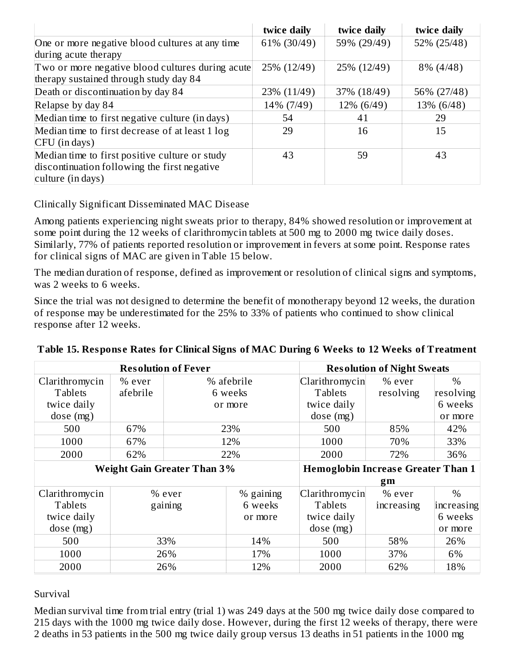|                                                  | twice daily | twice daily | twice daily |
|--------------------------------------------------|-------------|-------------|-------------|
| One or more negative blood cultures at any time  | 61% (30/49) | 59% (29/49) | 52% (25/48) |
| during acute therapy                             |             |             |             |
| Two or more negative blood cultures during acute | 25% (12/49) | 25% (12/49) | 8% (4/48)   |
| therapy sustained through study day 84           |             |             |             |
| Death or discontinuation by day 84               | 23% (11/49) | 37% (18/49) | 56% (27/48) |
| Relapse by day 84                                | 14% (7/49)  | 12% (6/49)  | 13% (6/48)  |
| Median time to first negative culture (in days)  | 54          | 41          | 29          |
| Median time to first decrease of at least 1 log  | 29          | 16          | 15          |
| CFU (in days)                                    |             |             |             |
| Median time to first positive culture or study   | 43          | 59          | 43          |
| discontinuation following the first negative     |             |             |             |
| culture (in days)                                |             |             |             |

Clinically Significant Disseminated MAC Disease

Among patients experiencing night sweats prior to therapy, 84% showed resolution or improvement at some point during the 12 weeks of clarithromycin tablets at 500 mg to 2000 mg twice daily doses. Similarly, 77% of patients reported resolution or improvement in fevers at some point. Response rates for clinical signs of MAC are given in Table 15 below.

The median duration of response, defined as improvement or resolution of clinical signs and symptoms, was 2 weeks to 6 weeks.

Since the trial was not designed to determine the benefit of monotherapy beyond 12 weeks, the duration of response may be underestimated for the 25% to 33% of patients who continued to show clinical response after 12 weeks.

| <b>Resolution of Fever</b>         |          |         |                                           | <b>Resolution of Night Sweats</b> |            |            |
|------------------------------------|----------|---------|-------------------------------------------|-----------------------------------|------------|------------|
| Clarithromycin                     | $%$ ever |         | % afebrile                                | Clarithromycin                    | % ever     | $\%$       |
| <b>Tablets</b>                     | afebrile |         | 6 weeks                                   | <b>Tablets</b>                    | resolving  | resolving  |
| twice daily                        |          |         | or more                                   | twice daily                       |            | 6 weeks    |
| dose (mg)                          |          |         |                                           | dose(mg)                          |            | or more    |
| 500                                | 67%      |         | 23%                                       | 500                               | 85%        | 42%        |
| 1000                               | 67%      |         | 12%                                       | 1000                              | 70%        | 33%        |
| 2000                               | 62%      |         | 22%                                       | 2000                              | 72%        | 36%        |
| <b>Weight Gain Greater Than 3%</b> |          |         | <b>Hemoglobin Increase Greater Than 1</b> |                                   |            |            |
|                                    |          |         |                                           |                                   | gm         |            |
| Clarithromycin                     |          | % ever  | % gaining                                 | Clarithromycin                    | % ever     | $\%$       |
| <b>Tablets</b>                     |          | gaining | 6 weeks                                   | <b>Tablets</b>                    | increasing | increasing |
| twice daily                        |          |         | or more                                   | twice daily                       |            | 6 weeks    |
| dose (mg)                          |          |         |                                           | dose(mg)                          |            | or more    |
| 500                                |          | 33%     | 14%                                       | 500                               | 58%        | 26%        |
| 1000                               |          | 26%     | 17%                                       | 1000                              | 37%        | 6%         |
| 2000                               |          | 26%     | 12%                                       | 2000                              | 62%        | 18%        |

|  |  | Table 15. Response Rates for Clinical Signs of MAC During 6 Weeks to 12 Weeks of Treatment |  |  |  |
|--|--|--------------------------------------------------------------------------------------------|--|--|--|
|  |  |                                                                                            |  |  |  |

#### Survival

Median survival time from trial entry (trial 1) was 249 days at the 500 mg twice daily dose compared to 215 days with the 1000 mg twice daily dose. However, during the first 12 weeks of therapy, there were 2 deaths in 53 patients in the 500 mg twice daily group versus 13 deaths in 51 patients in the 1000 mg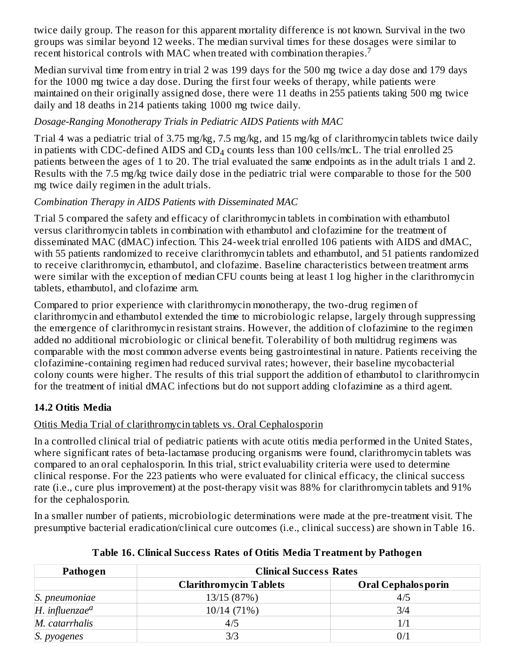twice daily group. The reason for this apparent mortality difference is not known. Survival in the two groups was similar beyond 12 weeks. The median survival times for these dosages were similar to recent historical controls with MAC when treated with combination therapies.<sup>7</sup>

Median survival time from entry in trial 2 was 199 days for the 500 mg twice a day dose and 179 days for the 1000 mg twice a day dose. During the first four weeks of therapy, while patients were maintained on their originally assigned dose, there were 11 deaths in 255 patients taking 500 mg twice daily and 18 deaths in 214 patients taking 1000 mg twice daily.

### *Dosage-Ranging Monotherapy Trials in Pediatric AIDS Patients with MAC*

Trial 4 was a pediatric trial of 3.75 mg/kg, 7.5 mg/kg, and 15 mg/kg of clarithromycin tablets twice daily in patients with CDC-defined AIDS and  $\text{CD}_4$  counts less than 100 cells/mcL. The trial enrolled 25 patients between the ages of 1 to 20. The trial evaluated the same endpoints as in the adult trials 1 and 2. Results with the 7.5 mg/kg twice daily dose in the pediatric trial were comparable to those for the 500 mg twice daily regimen in the adult trials.

### *Combination Therapy in AIDS Patients with Disseminated MAC*

Trial 5 compared the safety and efficacy of clarithromycin tablets in combination with ethambutol versus clarithromycin tablets in combination with ethambutol and clofazimine for the treatment of disseminated MAC (dMAC) infection. This 24-week trial enrolled 106 patients with AIDS and dMAC, with 55 patients randomized to receive clarithromycin tablets and ethambutol, and 51 patients randomized to receive clarithromycin, ethambutol, and clofazime. Baseline characteristics between treatment arms were similar with the exception of median CFU counts being at least 1 log higher in the clarithromycin tablets, ethambutol, and clofazime arm.

Compared to prior experience with clarithromycin monotherapy, the two-drug regimen of clarithromycin and ethambutol extended the time to microbiologic relapse, largely through suppressing the emergence of clarithromycin resistant strains. However, the addition of clofazimine to the regimen added no additional microbiologic or clinical benefit. Tolerability of both multidrug regimens was comparable with the most common adverse events being gastrointestinal in nature. Patients receiving the clofazimine-containing regimen had reduced survival rates; however, their baseline mycobacterial colony counts were higher. The results of this trial support the addition of ethambutol to clarithromycin for the treatment of initial dMAC infections but do not support adding clofazimine as a third agent.

# **14.2 Otitis Media**

# Otitis Media Trial of clarithromycin tablets vs. Oral Cephalosporin

In a controlled clinical trial of pediatric patients with acute otitis media performed in the United States, where significant rates of beta-lactamase producing organisms were found, clarithromycin tablets was compared to an oral cephalosporin. In this trial, strict evaluability criteria were used to determine clinical response. For the 223 patients who were evaluated for clinical efficacy, the clinical success rate (i.e., cure plus improvement) at the post-therapy visit was 88% for clarithromycin tablets and 91% for the cephalosporin.

In a smaller number of patients, microbiologic determinations were made at the pre-treatment visit. The presumptive bacterial eradication/clinical cure outcomes (i.e., clinical success) are shown in Table 16.

| Pathogen                     | <b>Clinical Success Rates</b> |                           |  |  |  |
|------------------------------|-------------------------------|---------------------------|--|--|--|
|                              | <b>Clarithromycin Tablets</b> | <b>Oral Cephalosporin</b> |  |  |  |
| S. pneumoniae                | 13/15 (87%)                   | 4/5                       |  |  |  |
| $H.$ influenzae <sup>a</sup> | 10/14 (71%)                   | 3/4                       |  |  |  |
| M. catarrhalis               | 4/5                           |                           |  |  |  |
| S. pyogenes                  | 3/3                           | 0/1                       |  |  |  |

**Table 16. Clinical Success Rates of Otitis Media Treatment by Pathogen**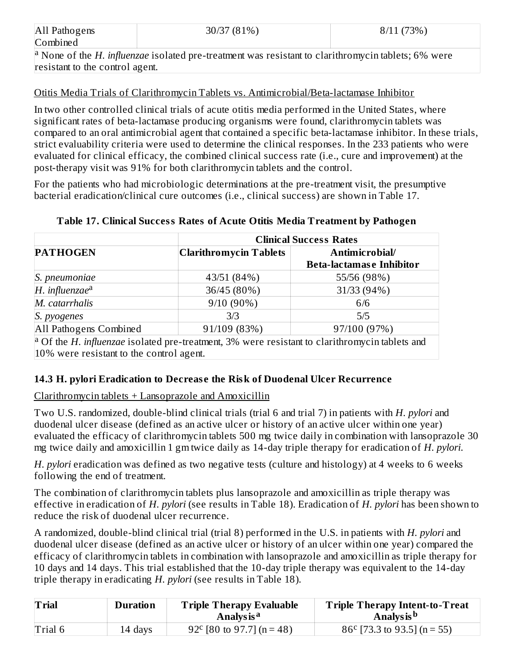| All Pathogens                                                                                                                 | 30/37 (81%) | 8/11(73%) |  |  |  |  |
|-------------------------------------------------------------------------------------------------------------------------------|-------------|-----------|--|--|--|--|
| Combined                                                                                                                      |             |           |  |  |  |  |
| <sup>a</sup> None of the <i>H</i> . <i>influenzae</i> isolated pre-treatment was resistant to clarithromycin tablets; 6% were |             |           |  |  |  |  |
| resistant to the control agent.                                                                                               |             |           |  |  |  |  |

#### Otitis Media Trials of Clarithromycin Tablets vs. Antimicrobial/Beta-lactamase Inhibitor

In two other controlled clinical trials of acute otitis media performed in the United States, where significant rates of beta-lactamase producing organisms were found, clarithromycin tablets was compared to an oral antimicrobial agent that contained a specific beta-lactamase inhibitor. In these trials, strict evaluability criteria were used to determine the clinical responses. In the 233 patients who were evaluated for clinical efficacy, the combined clinical success rate (i.e., cure and improvement) at the post-therapy visit was 91% for both clarithromycin tablets and the control.

For the patients who had microbiologic determinations at the pre-treatment visit, the presumptive bacterial eradication/clinical cure outcomes (i.e., clinical success) are shown in Table 17.

|                        | <b>Clinical Success Rates</b> |                                                                                                                           |  |  |  |
|------------------------|-------------------------------|---------------------------------------------------------------------------------------------------------------------------|--|--|--|
| <b>PATHOGEN</b>        | Clarithromycin Tablets        | Antimicrobial/                                                                                                            |  |  |  |
|                        |                               | <b>Beta-lactamase Inhibitor</b>                                                                                           |  |  |  |
| S. pneumoniae          | 43/51 (84%)                   | 55/56 (98%)                                                                                                               |  |  |  |
| $H.$ influenzae $a$    | 36/45 (80%)                   | 31/33 (94%)                                                                                                               |  |  |  |
| M. catarrhalis         | $9/10(90\%)$                  | 6/6                                                                                                                       |  |  |  |
| S. pyogenes            | 3/3                           | 5/5                                                                                                                       |  |  |  |
| All Pathogens Combined | 91/109 (83%)                  | 97/100 (97%)                                                                                                              |  |  |  |
|                        |                               | <sup>[a</sup> Of the <i>H</i> , <i>influenzae</i> isolated pre-treatment, 3% were resistant to clarithromycin tablets and |  |  |  |

#### **Table 17. Clinical Success Rates of Acute Otitis Media Treatment by Pathogen**

Of the *H. influenzae* isolated pre-treatment, 3% were resistant to clarithromycin tablets and 10% were resistant to the control agent.

#### **14.3 H. pylori Eradication to Decreas e the Risk of Duodenal Ulcer Recurrence**

#### Clarithromycin tablets + Lansoprazole and Amoxicillin

Two U.S. randomized, double-blind clinical trials (trial 6 and trial 7) in patients with *H. pylori* and duodenal ulcer disease (defined as an active ulcer or history of an active ulcer within one year) evaluated the efficacy of clarithromycin tablets 500 mg twice daily in combination with lansoprazole 30 mg twice daily and amoxicillin 1 gm twice daily as 14-day triple therapy for eradication of *H. pylori*.

*H. pylori* eradication was defined as two negative tests (culture and histology) at 4 weeks to 6 weeks following the end of treatment.

The combination of clarithromycin tablets plus lansoprazole and amoxicillin as triple therapy was effective in eradication of *H. pylori* (see results in Table 18). Eradication of *H. pylori* has been shown to reduce the risk of duodenal ulcer recurrence.

A randomized, double-blind clinical trial (trial 8) performed in the U.S. in patients with *H. pylori* and duodenal ulcer disease (defined as an active ulcer or history of an ulcer within one year) compared the efficacy of clarithromycin tablets in combination with lansoprazole and amoxicillin as triple therapy for 10 days and 14 days. This trial established that the 10-day triple therapy was equivalent to the 14-day triple therapy in eradicating *H. pylori* (see results in Table 18).

| <b>Trial</b> | <b>Duration</b> | <b>Triple Therapy Evaluable</b><br>Analys is <sup>a</sup> | <b>Triple Therapy Intent-to-Treat</b><br>Analys is <sup>b</sup> |
|--------------|-----------------|-----------------------------------------------------------|-----------------------------------------------------------------|
| Trial 6      | 14 days         | 92 <sup>c</sup> [80 to 97.7] (n = 48)                     | $86^{\circ}$ [73.3 to 93.5] (n = 55)                            |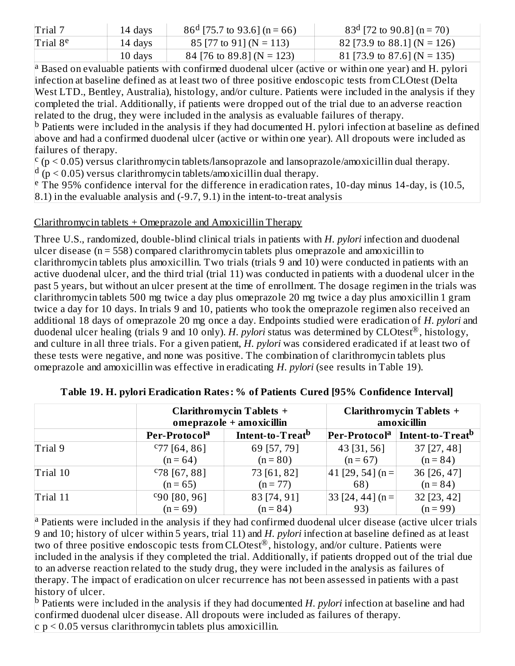| Trial 7              | 14 days | $86^d$ [75.7 to 93.6] (n = 66) | $83^d$ [72 to 90.8] (n = 70) |
|----------------------|---------|--------------------------------|------------------------------|
| Trial 8 <sup>e</sup> | 14 days | $85$ [77 to 91] (N = 113)      | 82 [73.9 to 88.1] (N = 126)  |
|                      | 10 days | 84 [76 to 89.8] (N = 123)      | 81 [73.9 to 87.6] (N = 135)  |

<sup>a</sup> Based on evaluable patients with confirmed duodenal ulcer (active or within one year) and H. pylori infection at baseline defined as at least two of three positive endoscopic tests from CLOtest (Delta West LTD., Bentley, Australia), histology, and/or culture. Patients were included in the analysis if they completed the trial. Additionally, if patients were dropped out of the trial due to an adverse reaction related to the drug, they were included in the analysis as evaluable failures of therapy.

<sup>b</sup> Patients were included in the analysis if they had documented H. pylori infection at baseline as defined above and had a confirmed duodenal ulcer (active or within one year). All dropouts were included as failures of therapy.

 $\rm\degree$  (p  $\rm<$  0.05) versus clarithromycin tablets/lansoprazole and lansoprazole/amoxicillin dual therapy.

 $\frac{d}{dp}$  ( $p$  < 0.05) versus clarithromycin tablets/amoxicillin dual therapy.

<sup>e</sup> The 95% confidence interval for the difference in eradication rates, 10-day minus 14-day, is (10.5, 8.1) in the evaluable analysis and (-9.7, 9.1) in the intent-to-treat analysis

### Clarithromycin tablets + Omeprazole and Amoxicillin Therapy

Three U.S., randomized, double-blind clinical trials in patients with *H. pylori* infection and duodenal ulcer disease (n = 558) compared clarithromycin tablets plus omeprazole and amoxicillin to clarithromycin tablets plus amoxicillin. Two trials (trials 9 and 10) were conducted in patients with an active duodenal ulcer, and the third trial (trial 11) was conducted in patients with a duodenal ulcer in the past 5 years, but without an ulcer present at the time of enrollment. The dosage regimen in the trials was clarithromycin tablets 500 mg twice a day plus omeprazole 20 mg twice a day plus amoxicillin 1 gram twice a day for 10 days. In trials 9 and 10, patients who took the omeprazole regimen also received an additional 18 days of omeprazole 20 mg once a day. Endpoints studied were eradication of *H. pylori* and duodenal ulcer healing (trials 9 and 10 only). *H. pylori* status was determined by CLOtest®, histology, and culture in all three trials. For a given patient, *H. pylori* was considered eradicated if at least two of these tests were negative, and none was positive. The combination of clarithromycin tablets plus omeprazole and amoxicillin was effective in eradicating *H. pylori* (see results in Table 19).

|          |                           | <b>Clarithromycin Tablets +</b><br>omeprazole + amoxicillin | <b>Clarithromycin Tablets +</b><br>amoxicillin     |                                                          |  |
|----------|---------------------------|-------------------------------------------------------------|----------------------------------------------------|----------------------------------------------------------|--|
|          | Per-Protocol <sup>a</sup> | Intent-to-Treat <sup>b</sup>                                |                                                    | Per-Protocol <sup>a</sup>   Intent-to-Treat <sup>b</sup> |  |
| Trial 9  | $C$ 77 [64, 86]           | 69 [57, 79]                                                 | 43 [31, 56]                                        | $37$ [27, 48]                                            |  |
|          | $(n = 64)$                | $(n = 80)$                                                  | $(n = 67)$                                         | $(n = 84)$                                               |  |
| Trial 10 | $C78$ [67, 88]            | 73 [61, 82]                                                 | $41$ [29, 54] (n =                                 | 36 [26, 47]                                              |  |
|          | $(n = 65)$                | $(n = 77)$                                                  | 68)                                                | $(n = 84)$                                               |  |
| Trial 11 | $c_{90}$ [80, 96]         | 83 [74, 91]                                                 | $\left[ 33 \right]$ [24, 44] (n = $\left[ \right]$ | 32 [23, 42]                                              |  |
|          | $(n = 69)$                | $(n = 84)$                                                  | 93)                                                | $(n = 99)$                                               |  |

**Table 19. H. pylori Eradication Rates: % of Patients Cured [95% Confidence Interval]**

<sup>a</sup> Patients were included in the analysis if they had confirmed duodenal ulcer disease (active ulcer trials 9 and 10; history of ulcer within 5 years, trial 11) and *H. pylori* infection at baseline defined as at least two of three positive endoscopic tests from  $CLOtest^{\circledR}$ , histology, and/or culture. Patients were included in the analysis if they completed the trial. Additionally, if patients dropped out of the trial due to an adverse reaction related to the study drug, they were included in the analysis as failures of therapy. The impact of eradication on ulcer recurrence has not been assessed in patients with a past history of ulcer.

<sup>b</sup> Patients were included in the analysis if they had documented *H. pylori* infection at baseline and had confirmed duodenal ulcer disease. All dropouts were included as failures of therapy.  $c$  p  $\leq$  0.05 versus clarithromycin tablets plus amoxicillin.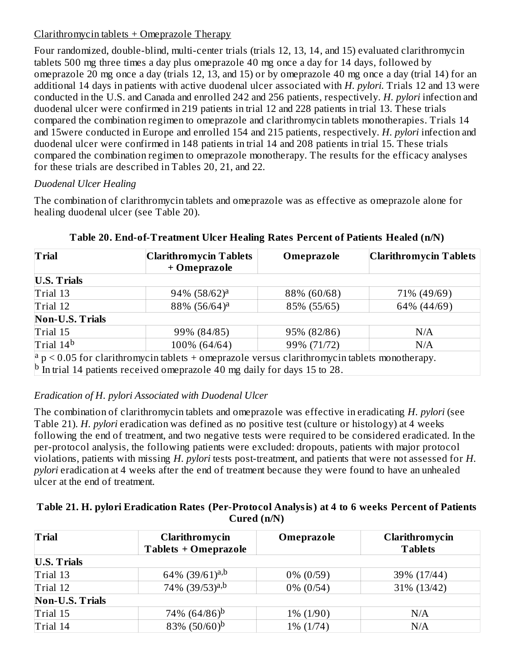#### Clarithromycin tablets + Omeprazole Therapy

Four randomized, double-blind, multi-center trials (trials 12, 13, 14, and 15) evaluated clarithromycin tablets 500 mg three times a day plus omeprazole 40 mg once a day for 14 days, followed by omeprazole 20 mg once a day (trials 12, 13, and 15) or by omeprazole 40 mg once a day (trial 14) for an additional 14 days in patients with active duodenal ulcer associated with *H. pylori*. Trials 12 and 13 were conducted in the U.S. and Canada and enrolled 242 and 256 patients, respectively. *H. pylori* infection and duodenal ulcer were confirmed in 219 patients in trial 12 and 228 patients in trial 13. These trials compared the combination regimen to omeprazole and clarithromycin tablets monotherapies. Trials 14 and 15were conducted in Europe and enrolled 154 and 215 patients, respectively. *H. pylori* infection and duodenal ulcer were confirmed in 148 patients in trial 14 and 208 patients in trial 15. These trials compared the combination regimen to omeprazole monotherapy. The results for the efficacy analyses for these trials are described in Tables 20, 21, and 22.

### *Duodenal Ulcer Healing*

The combination of clarithromycin tablets and omeprazole was as effective as omeprazole alone for healing duodenal ulcer (see Table 20).

| <b>Trial</b>           | <b>Clarithromycin Tablets</b><br>+ Omeprazole                                                     | Omeprazole  | <b>Clarithromycin Tablets</b> |
|------------------------|---------------------------------------------------------------------------------------------------|-------------|-------------------------------|
| <b>U.S. Trials</b>     |                                                                                                   |             |                               |
| Trial 13               | $94\%$ $(58/62)^a$                                                                                | 88% (60/68) | 71% (49/69)                   |
| Trial 12               | 88% (56/64) <sup>a</sup>                                                                          | 85% (55/65) | 64% (44/69)                   |
| <b>Non-U.S. Trials</b> |                                                                                                   |             |                               |
| Trial 15               | 99% (84/85)                                                                                       | 95% (82/86) | N/A                           |
| Trial 14 <sup>b</sup>  | 100% (64/64)                                                                                      | 99% (71/72) | N/A                           |
|                        | $ a $ p < 0.05 for clarithromycin tablets + omeprazole versus clarithromycin tablets monotherapy. |             |                               |
|                        | $\vert$ <sup>b</sup> In trial 14 patients received omeprazole 40 mg daily for days 15 to 28.      |             |                               |

### **Table 20. End-of-Treatment Ulcer Healing Rates Percent of Patients Healed (n/N)**

### *Eradication of H. pylori Associated with Duodenal Ulcer*

The combination of clarithromycin tablets and omeprazole was effective in eradicating *H. pylori* (see Table 21). *H. pylori* eradication was defined as no positive test (culture or histology) at 4 weeks following the end of treatment, and two negative tests were required to be considered eradicated. In the per-protocol analysis, the following patients were excluded: dropouts, patients with major protocol violations, patients with missing *H. pylori* tests post-treatment, and patients that were not assessed for *H. pylori* eradication at 4 weeks after the end of treatment because they were found to have an unhealed ulcer at the end of treatment.

#### **Table 21. H. pylori Eradication Rates (Per-Protocol Analysis) at 4 to 6 weeks Percent of Patients Cured (n/N)**

| <b>Trial</b>           | Clarithromycin<br>Tablets + Omeprazole | Omeprazole   | Clarithromycin<br><b>Tablets</b> |
|------------------------|----------------------------------------|--------------|----------------------------------|
| <b>U.S. Trials</b>     |                                        |              |                                  |
| Trial 13               | 64% (39/61) <sup>a,b</sup>             | $0\%$ (0/59) | 39% (17/44)                      |
| Trial 12               | 74% $(39/53)^{a,b}$                    | $0\%$ (0/54) | 31% (13/42)                      |
| <b>Non-U.S. Trials</b> |                                        |              |                                  |
| Trial 15               | 74\% $(64/86)^b$                       | $1\% (1/90)$ | N/A                              |
| Trial 14               | 83% $(50/60)^b$                        | 1% (1/74)    | N/A                              |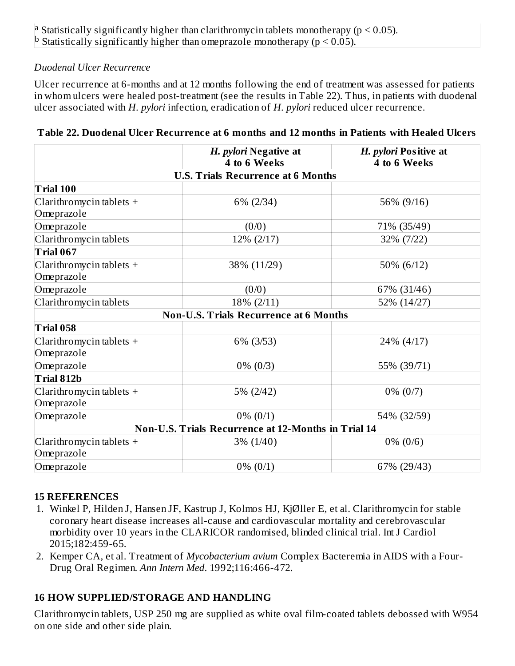<sup>a</sup> Statistically significantly higher than clarithromycin tablets monotherapy ( $p < 0.05$ ). <sup>b</sup> Statistically significantly higher than omeprazole monotherapy ( $p < 0.05$ ).

#### *Duodenal Ulcer Recurrence*

Ulcer recurrence at 6-months and at 12 months following the end of treatment was assessed for patients in whom ulcers were healed post-treatment (see the results in Table 22). Thus, in patients with duodenal ulcer associated with *H. pylori* infection, eradication of *H. pylori* reduced ulcer recurrence.

|                                           | H. pylori Negative at<br>4 to 6 Weeks               | H. pylori Positive at<br>4 to 6 Weeks |  |  |  |
|-------------------------------------------|-----------------------------------------------------|---------------------------------------|--|--|--|
| <b>U.S. Trials Recurrence at 6 Months</b> |                                                     |                                       |  |  |  |
| Trial 100                                 |                                                     |                                       |  |  |  |
| Clarithromycin tablets $+$<br>Omeprazole  | $6\% (2/34)$                                        | 56% (9/16)                            |  |  |  |
| Omeprazole                                | (0/0)                                               | 71% (35/49)                           |  |  |  |
| Clarithromycin tablets                    | 12% (2/17)                                          | 32% (7/22)                            |  |  |  |
| Trial 067                                 |                                                     |                                       |  |  |  |
| Clarithromycin tablets $+$<br>Omeprazole  | 38% (11/29)                                         | 50% (6/12)                            |  |  |  |
| Omeprazole                                | (0/0)                                               | 67% (31/46)                           |  |  |  |
| Clarithromycin tablets                    | 18% (2/11)                                          | 52% (14/27)                           |  |  |  |
|                                           | <b>Non-U.S. Trials Recurrence at 6 Months</b>       |                                       |  |  |  |
| Trial 058                                 |                                                     |                                       |  |  |  |
| Clarithromycin tablets $+$<br>Omeprazole  | 6% (3/53)                                           | 24% (4/17)                            |  |  |  |
| Omeprazole                                | $0\% (0/3)$                                         | 55% (39/71)                           |  |  |  |
| Trial 812b                                |                                                     |                                       |  |  |  |
| Clarithromycin tablets $+$<br>Omeprazole  | 5% (2/42)                                           | $0\% (0/7)$                           |  |  |  |
| Omeprazole                                | $0\% (0/1)$                                         | 54% (32/59)                           |  |  |  |
|                                           | Non-U.S. Trials Recurrence at 12-Months in Trial 14 |                                       |  |  |  |
| Clarithromycin tablets $+$<br>Omeprazole  | $3\% (1/40)$                                        | $0\% (0/6)$                           |  |  |  |
| Omeprazole                                | $0\% (0/1)$                                         | 67% (29/43)                           |  |  |  |

|  | Table 22. Duodenal Ulcer Recurrence at 6 months and 12 months in Patients with Healed Ulcers |  |  |  |
|--|----------------------------------------------------------------------------------------------|--|--|--|
|  |                                                                                              |  |  |  |

#### **15 REFERENCES**

- 1. Winkel P, Hilden J, Hansen JF, Kastrup J, Kolmos HJ, KjØller E, et al. Clarithromycin for stable coronary heart disease increases all-cause and cardiovascular mortality and cerebrovascular morbidity over 10 years in the CLARICOR randomised, blinded clinical trial. Int J Cardiol 2015;182:459-65.
- 2. Kemper CA, et al. Treatment of *Mycobacterium avium* Complex Bacteremia in AIDS with a Four-Drug Oral Regimen. *Ann Intern Med*. 1992;116:466-472.

### **16 HOW SUPPLIED/STORAGE AND HANDLING**

Clarithromycin tablets, USP 250 mg are supplied as white oval film-coated tablets debossed with W954 on one side and other side plain.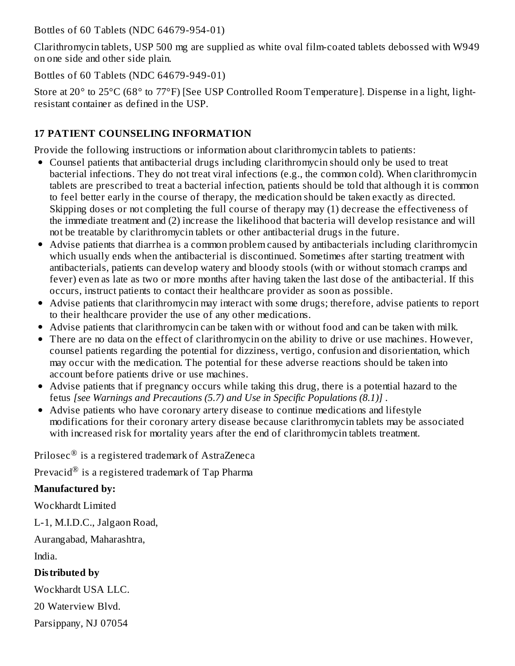Bottles of 60 Tablets (NDC 64679-954-01)

Clarithromycin tablets, USP 500 mg are supplied as white oval film-coated tablets debossed with W949 on one side and other side plain.

Bottles of 60 Tablets (NDC 64679-949-01)

Store at 20° to 25°C (68° to 77°F) [See USP Controlled Room Temperature]. Dispense in a light, lightresistant container as defined in the USP.

# **17 PATIENT COUNSELING INFORMATION**

Provide the following instructions or information about clarithromycin tablets to patients:

- Counsel patients that antibacterial drugs including clarithromycin should only be used to treat bacterial infections. They do not treat viral infections (e.g., the common cold). When clarithromycin tablets are prescribed to treat a bacterial infection, patients should be told that although it is common to feel better early in the course of therapy, the medication should be taken exactly as directed. Skipping doses or not completing the full course of therapy may (1) decrease the effectiveness of the immediate treatment and (2) increase the likelihood that bacteria will develop resistance and will not be treatable by clarithromycin tablets or other antibacterial drugs in the future.
- Advise patients that diarrhea is a common problem caused by antibacterials including clarithromycin which usually ends when the antibacterial is discontinued. Sometimes after starting treatment with antibacterials, patients can develop watery and bloody stools (with or without stomach cramps and fever) even as late as two or more months after having taken the last dose of the antibacterial. If this occurs, instruct patients to contact their healthcare provider as soon as possible.
- Advise patients that clarithromycin may interact with some drugs; therefore, advise patients to report to their healthcare provider the use of any other medications.
- Advise patients that clarithromycin can be taken with or without food and can be taken with milk.
- There are no data on the effect of clarithromycin on the ability to drive or use machines. However, counsel patients regarding the potential for dizziness, vertigo, confusion and disorientation, which may occur with the medication. The potential for these adverse reactions should be taken into account before patients drive or use machines.
- Advise patients that if pregnancy occurs while taking this drug, there is a potential hazard to the fetus *[see Warnings and Precautions (5.7) and Use in Specific Populations (8.1)]* .
- Advise patients who have coronary artery disease to continue medications and lifestyle modifications for their coronary artery disease because clarithromycin tablets may be associated with increased risk for mortality years after the end of clarithromycin tablets treatment.

Prilosec $^{\circledR}$  is a registered trademark of AstraZeneca

Prevacid $^\circledR$  is a registered trademark of Tap Pharma

# **Manufactured by:**

Wockhardt Limited

L-1, M.I.D.C., Jalgaon Road,

Aurangabad, Maharashtra,

India.

# **Distributed by**

Wockhardt USA LLC.

20 Waterview Blvd.

Parsippany, NJ 07054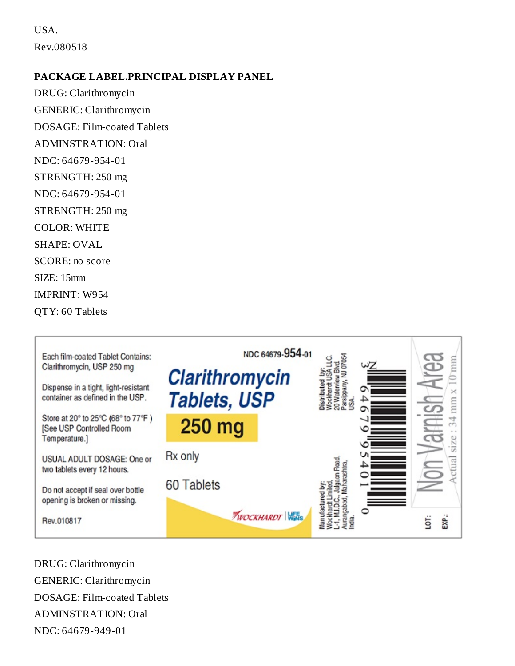USA. Rev.080518

#### **PACKAGE LABEL.PRINCIPAL DISPLAY PANEL**

DRUG: Clarithromycin GENERIC: Clarithromycin DOSAGE: Film-coated Tablets ADMINSTRATION: Oral NDC: 64679-954-01 STRENGTH: 250 mg NDC: 64679-954-01 STRENGTH: 250 mg COLOR: WHITE SHAPE: OVAL SCORE: no score SIZE: 15mm IMPRINT: W954 QTY: 60 Tablets



DRUG: Clarithromycin GENERIC: Clarithromycin DOSAGE: Film-coated Tablets ADMINSTRATION: Oral NDC: 64679-949-01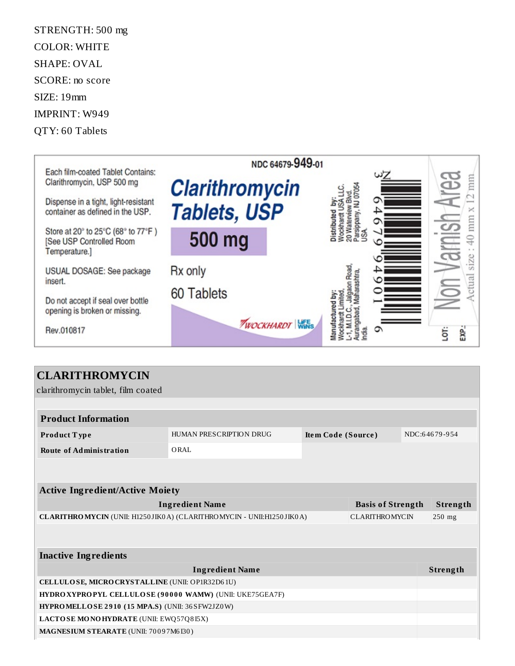STRENGTH: 500 mg COLOR: WHITE SHAPE: OVAL SCORE: no score SIZE: 19mm IMPRINT: W949 QTY: 60 Tablets



# **CLARITHROMYCIN**

clarithromycin tablet, film coated

| <b>Product Information</b>                                                                    |                         |                    |  |          |               |  |
|-----------------------------------------------------------------------------------------------|-------------------------|--------------------|--|----------|---------------|--|
| <b>Product Type</b>                                                                           | HUMAN PRESCRIPTION DRUG | Item Code (Source) |  |          | NDC:64679-954 |  |
| <b>Route of Administration</b>                                                                | ORAL.                   |                    |  |          |               |  |
|                                                                                               |                         |                    |  |          |               |  |
|                                                                                               |                         |                    |  |          |               |  |
| <b>Active Ingredient/Active Moiety</b>                                                        |                         |                    |  |          |               |  |
| <b>Ingredient Name</b><br><b>Basis of Strength</b>                                            |                         |                    |  |          | Strength      |  |
| CLARITHROMYCIN (UNII: H1250JIK0A) (CLARITHROMYCIN - UNII:H1250JIK0A)<br><b>CLARITHROMYCIN</b> |                         |                    |  | $250$ mg |               |  |
|                                                                                               |                         |                    |  |          |               |  |
|                                                                                               |                         |                    |  |          |               |  |
| <b>Inactive Ingredients</b>                                                                   |                         |                    |  |          |               |  |
|                                                                                               | <b>Ingredient Name</b>  |                    |  |          | Strength      |  |
| CELLULOSE, MICRO CRYSTALLINE (UNII: OP1R32D61U)                                               |                         |                    |  |          |               |  |
| HYDROXYPROPYL CELLULOSE (90000 WAMW) (UNII: UKE75GEA7F)                                       |                         |                    |  |          |               |  |
| HYPROMELLOSE 2910 (15 MPA.S) (UNII: 36 SFW2JZ0 W)                                             |                         |                    |  |          |               |  |
| LACTOSE MONOHYDRATE (UNII: EWQ57Q8I5X)                                                        |                         |                    |  |          |               |  |
| MAGNESIUM STEARATE (UNII: 70097M6I30)                                                         |                         |                    |  |          |               |  |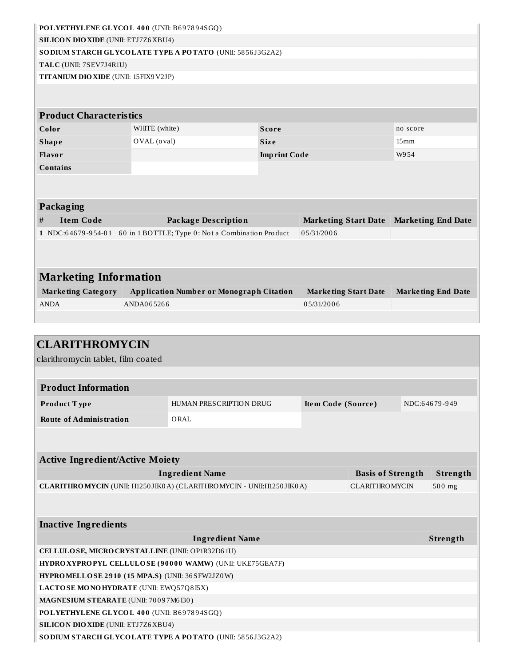| POLYETHYLENE GLYCOL 400 (UNII: B697894SGQ)<br><b>SILICON DIO XIDE (UNII: ETJ7Z6 XBU4)</b> |                                                |                                                                                                |                     |                             |                                                   |      |                           |  |
|-------------------------------------------------------------------------------------------|------------------------------------------------|------------------------------------------------------------------------------------------------|---------------------|-----------------------------|---------------------------------------------------|------|---------------------------|--|
| SO DIUM STARCH GLYCOLATE TYPE A POTATO (UNII: 5856J3G2A2)                                 |                                                |                                                                                                |                     |                             |                                                   |      |                           |  |
| TALC (UNII: 7SEV7J4R1U)                                                                   |                                                |                                                                                                |                     |                             |                                                   |      |                           |  |
| TITANIUM DIO XIDE (UNII: 15FIX9 V2JP)                                                     |                                                |                                                                                                |                     |                             |                                                   |      |                           |  |
|                                                                                           |                                                |                                                                                                |                     |                             |                                                   |      |                           |  |
| <b>Product Characteristics</b>                                                            |                                                |                                                                                                |                     |                             |                                                   |      |                           |  |
| Color                                                                                     | WHITE (white)<br>Score                         |                                                                                                |                     | no score                    |                                                   |      |                           |  |
| <b>Shape</b>                                                                              | OVAL (oval)<br><b>Size</b><br>15 <sub>mm</sub> |                                                                                                |                     |                             |                                                   |      |                           |  |
| <b>Flavor</b>                                                                             |                                                |                                                                                                | <b>Imprint Code</b> |                             |                                                   | W954 |                           |  |
| <b>Contains</b>                                                                           |                                                |                                                                                                |                     |                             |                                                   |      |                           |  |
|                                                                                           |                                                |                                                                                                |                     |                             |                                                   |      |                           |  |
| Packaging                                                                                 |                                                |                                                                                                |                     |                             |                                                   |      |                           |  |
| <b>Item Code</b><br>#                                                                     |                                                | <b>Package Description</b>                                                                     |                     | <b>Marketing Start Date</b> |                                                   |      | <b>Marketing End Date</b> |  |
|                                                                                           |                                                | 1 NDC:64679-954-01 60 in 1 BOTTLE; Type 0: Not a Combination Product                           |                     | 05/31/2006                  |                                                   |      |                           |  |
|                                                                                           |                                                |                                                                                                |                     |                             |                                                   |      |                           |  |
|                                                                                           |                                                |                                                                                                |                     |                             |                                                   |      |                           |  |
| <b>Marketing Information</b>                                                              |                                                |                                                                                                |                     |                             |                                                   |      |                           |  |
| <b>Marketing Category</b>                                                                 |                                                | <b>Application Number or Monograph Citation</b>                                                |                     | <b>Marketing Start Date</b> |                                                   |      | <b>Marketing End Date</b> |  |
| <b>ANDA</b>                                                                               |                                                |                                                                                                |                     | 05/31/2006                  |                                                   |      |                           |  |
|                                                                                           | ANDA065266                                     |                                                                                                |                     |                             |                                                   |      |                           |  |
|                                                                                           |                                                |                                                                                                |                     |                             |                                                   |      |                           |  |
|                                                                                           |                                                |                                                                                                |                     |                             |                                                   |      |                           |  |
| <b>CLARITHROMYCIN</b>                                                                     |                                                |                                                                                                |                     |                             |                                                   |      |                           |  |
|                                                                                           |                                                |                                                                                                |                     |                             |                                                   |      |                           |  |
| clarithromycin tablet, film coated                                                        |                                                |                                                                                                |                     |                             |                                                   |      |                           |  |
| <b>Product Information</b>                                                                |                                                |                                                                                                |                     |                             |                                                   |      |                           |  |
| Product Type                                                                              |                                                | HUMAN PRESCRIPTION DRUG                                                                        |                     | Item Code (Source)          |                                                   |      | NDC:64679-949             |  |
|                                                                                           |                                                | ORAL                                                                                           |                     |                             |                                                   |      |                           |  |
| <b>Route of Administration</b>                                                            |                                                |                                                                                                |                     |                             |                                                   |      |                           |  |
|                                                                                           |                                                |                                                                                                |                     |                             |                                                   |      |                           |  |
|                                                                                           |                                                |                                                                                                |                     |                             |                                                   |      |                           |  |
| <b>Active Ingredient/Active Moiety</b>                                                    |                                                |                                                                                                |                     |                             |                                                   |      |                           |  |
|                                                                                           |                                                | <b>Ingredient Name</b><br>CLARITHROMYCIN (UNII: H1250JIK0A) (CLARITHROMYCIN - UNII:H1250JIK0A) |                     |                             | <b>Basis of Strength</b><br><b>CLARITHROMYCIN</b> |      | Strength<br>$500$ mg      |  |
|                                                                                           |                                                |                                                                                                |                     |                             |                                                   |      |                           |  |
|                                                                                           |                                                |                                                                                                |                     |                             |                                                   |      |                           |  |
| <b>Inactive Ingredients</b>                                                               |                                                |                                                                                                |                     |                             |                                                   |      |                           |  |
|                                                                                           |                                                | <b>Ingredient Name</b>                                                                         |                     |                             |                                                   |      | Strength                  |  |
| CELLULOSE, MICRO CRYSTALLINE (UNII: OP1R32D61U)                                           |                                                |                                                                                                |                     |                             |                                                   |      |                           |  |
|                                                                                           |                                                | HYDROXYPROPYL CELLULOSE (90000 WAMW) (UNII: UKE75GEA7F)                                        |                     |                             |                                                   |      |                           |  |
| HYPROMELLOSE 2910 (15 MPA.S) (UNII: 36 SFW2JZ0W)                                          |                                                |                                                                                                |                     |                             |                                                   |      |                           |  |

**MAGNESIUM STEARATE** (UNII: 70 0 9 7M6 I30 )

**POLYETHYLENE GLYCOL 4 0 0** (UNII: B6 9 78 9 4SGQ)

**SILICON DIOXIDE** (UNII: ETJ7Z6XBU4)

**SODIUM STARCH GLYCOLATE TYPE A POTATO** (UNII: 58 56 J3G2A2)